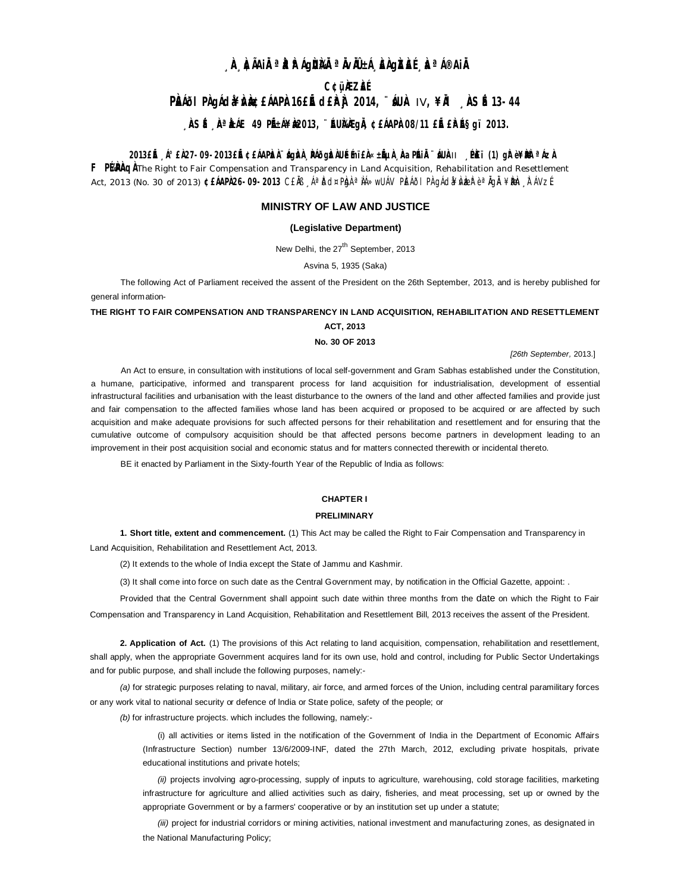# **¸ÀA¸À¢ÃAiÀÄ ªÀåªÀºÁgÀUÀ¼ÀÄ ªÀÄvÀÄÛ ±Á¸À£À gÀZÀ£É ¸ÀaªÁ®AiÀÄ**

# **C¢ü¸ÀÆZÀ£É**

# **PÀÁÕI PÀ ada¥À sé £ÁAPÀ 16£Ě d£ÀÀ 2014, ¨ ÁUÀ IV, ¥À ÀSÉ13-44**

# **, ÀSÉ , ÀªÀÁE 49 PÉtÁ¥À2013, ¨ÉUÀÀGIÀ, ¢£ÁAPÀ08/11 £IÉ£Àɧgï 2013.**

## **2013£Éà ¸Á°£À 27-09-2013£Éà ¢£ÁAPÀzÀ ¨sÁgÀvÀ ¸ÀPÁðgÀzÀ UÉeÉmï£À «±ÉõÀ ¸ÀAaPÉAiÀÄ ¨sÁUÀ-**II **¸ÉPÀë£ï (1) gÀ° è ¥ÀæPÀlªÁzÀ**

F PEPAQ A The Right to Fair Compensation and Transparency in Land Acquisition, Rehabilitation and Resettlement Act, 2013 (No. 30 of 2013) **¢£ÁAPÀ 26-09-2013** C£ÅB ¸ÁªĎd¤PÀgÀ ªÀÁ»wUÁV PÌEÁðI PÀ gÁdǎ¥ÀvÀæz è ªÀgÀ ¥ÈNen ¸ÌFÁVzÉ

## **MINISTRY OF LAW AND JUSTICE**

## **(Legislative Department)**

New Delhi, the 27<sup>th</sup> September, 2013

Asvina 5, 1935 (Saka)

The following Act of Parliament received the assent of the President on the 26th September, 2013, and is hereby published for general information-

## **THE RlGHT TO FAIR COMPENSATION AND TRANSPARENCY IN LAND ACQUISITION, REHABILITATION AND RESETTLEMENT ACT, 2013**

## **No. 30 OF 2013**

*[26th September,* 2013.]

An Act to ensure, in consultation with institutions of local self-government and Gram Sabhas established under the Constitution, a humane, participative, informed and transparent process for land acquisition for industrialisation, development of essential infrastructural facilities and urbanisation with the least disturbance to the owners of the land and other affected families and provide just and fair compensation to the affected families whose land has been acquired or proposed to be acquired or are affected by such acquisition and make adequate provisions for such affected persons for their rehabilitation and resettlement and for ensuring that the cumulative outcome of compulsory acquisition should be that affected persons become partners in development leading to an improvement in their post acquisition social and economic status and for matters connected therewith or incidental thereto.

BE it enacted by Parliament in the Sixty-fourth Year of the Republic of lndia as follows:

## **CHAPTER I**

## **PRELIMINARY**

**1. Short title, extent and commencement.** (1) This Act may be called the Right to Fair Compensation and Transparency in Land Acquisition, Rehabilitation and Resettlement Act, 2013.

(2) It extends to the whole of India except the State of Jammu and Kashmir.

(3) It shall come into force on such date as the Central Government may, by notification in the Official Gazette, appoint: .

Provided that the Central Government shall appoint such date within three months from the date on which the Right to Fair Compensation and Transparency in Land Acquisition, Rehabilitation and Resettlement Bill, 2013 receives the assent of the President.

**2. Application of Act.** (1) The provisions of this Act relating to land acquisition, compensation, rehabilitation and resettlement, shall apply, when the appropriate Government acquires land for its own use, hold and control, including for Public Sector Undertakings and for public purpose, and shall include the following purposes, namely:-

*(a)* for strategic purposes relating to naval, military, air force, and armed forces of the Union, including central paramilitary forces or any work vital to national security or defence of lndia or State police, safety of the people; or

*(b)* for infrastructure projects. which includes the following, namely:-

(i) all activities or items listed in the notification of the Government of India in the Department of Economic Affairs (Infrastructure Section) number 13/6/2009-INF, dated the 27th March, 2012, excluding private hospitals, private educational institutions and private hotels;

*(ii)* projects involving agro-processing, supply of inputs to agriculture, warehousing, cold storage facilities, marketing infrastructure for agriculture and allied activities such as dairy, fisheries, and meat processing, set up or owned by the appropriate Government or by a farmers' cooperative or by an institution set up under a statute;

*(iii)* project for industrial corridors or mining activities, national investment and manufacturing zones, as designated in the National Manufacturing Policy;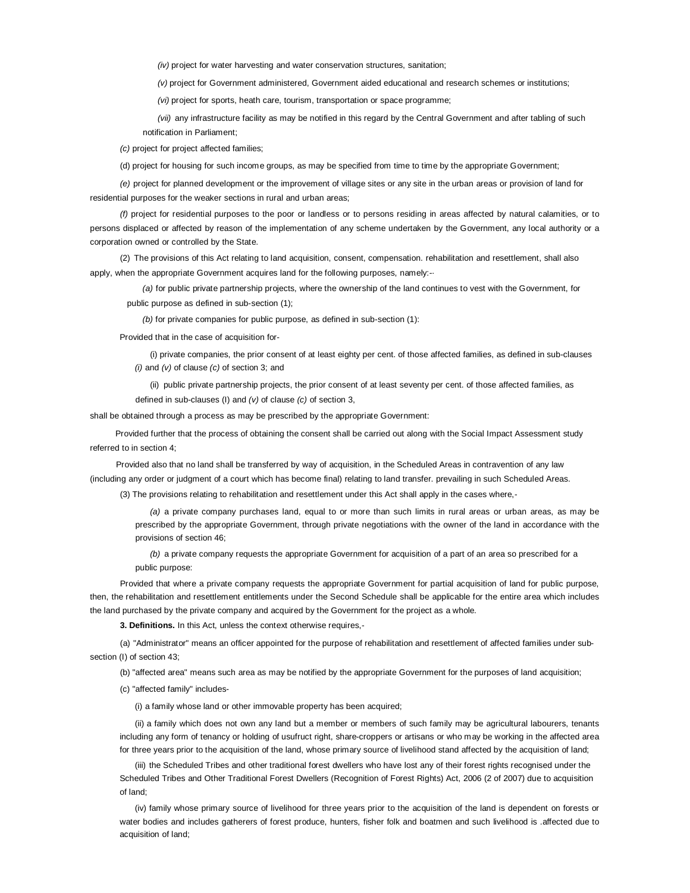*(iv)* project for water harvesting and water conservation structures, sanitation;

*(v)* project for Government administered, Government aided educational and research schemes or institutions;

*(vi)* project for sports, heath care, tourism, transportation or space programme;

*(vii)* any infrastructure facility as may be notified in this regard by the Central Government and after tabling of such notification in Parliament;

*(c)* project for project affected families;

(d) project for housing for such income groups, as may be specified from time to time by the appropriate Government;

*(e)* project for planned development or the improvement of village sites or any site in the urban areas or provision of land for residential purposes for the weaker sections in rural and urban areas;

*(f)* project for residential purposes to the poor or landless or to persons residing in areas affected by natural calamities, or to persons displaced or affected by reason of the implementation of any scheme undertaken by the Government, any local authority or a corporation owned or controlled by the State.

(2) The provisions of this Act relating to land acquisition, consent, compensation. rehabilitation and resettlement, shall also apply, when the appropriate Government acquires land for the following purposes, namely:-·

*(a)* for public private partnership projects, where the ownership of the land continues to vest with the Government, for public purpose as defined in sub-section (1);

*(b)* for private companies for public purpose, as defined in sub-section (1):

Provided that in the case of acquisition for-

(i) private companies, the prior consent of at least eighty per cent. of those affected families, as defined in sub-clauses *(i)* and *(v)* of clause *(c)* of section 3; and

(ii) public private partnership projects, the prior consent of at least seventy per cent. of those affected families, as defined in sub-clauses (I) and *(v)* of clause *(c)* of section 3,

shall be obtained through a process as may be prescribed by the appropriate Government:

Provided further that the process of obtaining the consent shall be carried out along with the Social Impact Assessment study referred to in section 4;

Provided also that no land shall be transferred by way of acquisition, in the Scheduled Areas in contravention of any law (including any order or judgment of a court which has become final) relating to land transfer. prevailing in such Scheduled Areas. (3) The provisions relating to rehabilitation and resettlement under this Act shall apply in the cases where,-

*(a)* a private company purchases land, equal to or more than such limits in rural areas or urban areas, as may be prescribed by the appropriate Government, through private negotiations with the owner of the land in accordance with the provisions of section 46;

*(b)* a private company requests the appropriate Government for acquisition of a part of an area so prescribed for a public purpose:

Provided that where a private company requests the appropriate Government for partial acquisition of land for public purpose, then, the rehabilitation and resettlement entitlements under the Second Schedule shall be applicable for the entire area which includes the land purchased by the private company and acquired by the Government for the project as a whole.

**3. Definitions.** In this Act, unless the context otherwise requires,-

(a) "Administrator" means an officer appointed for the purpose of rehabilitation and resettlement of affected families under subsection (I) of section 43;

(b) "affected area" means such area as may be notified by the appropriate Government for the purposes of land acquisition;

(c) "affected family" includes-

(i) a family whose land or other immovable property has been acquired;

(ii) a family which does not own any land but a member or members of such family may be agricultural labourers, tenants including any form of tenancy or holding of usufruct right, share-croppers or artisans or who may be working in the affected area for three years prior to the acquisition of the land, whose primary source of livelihood stand affected by the acquisition of land;

(iii) the Scheduled Tribes and other traditional forest dwellers who have lost any of their forest rights recognised under the Scheduled Tribes and Other Traditional Forest Dwellers (Recognition of Forest Rights) Act, 2006 (2 of 2007) due to acquisition of land;

(iv) family whose primary source of livelihood for three years prior to the acquisition of the land is dependent on forests or water bodies and includes gatherers of forest produce, hunters, fisher folk and boatmen and such livelihood is .affected due to acquisition of land;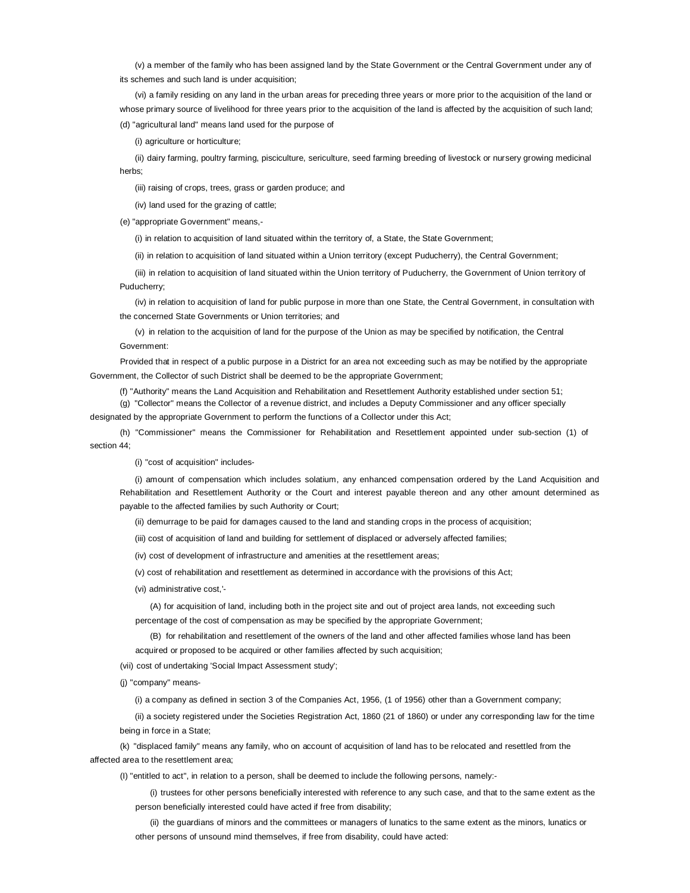(v) a member of the family who has been assigned land by the State Government or the Central Government under any of its schemes and such land is under acquisition;

(vi) a family residing on any land in the urban areas for preceding three years or more prior to the acquisition of the land or whose primary source of livelihood for three years prior to the acquisition of the land is affected by the acquisition of such land; (d) ''agricultural land" means land used for the purpose of

(i) agriculture or horticulture;

(ii) dairy farming, poultry farming, pisciculture, sericulture, seed farming breeding of livestock or nursery growing medicinal herbs;

(iii) raising of crops, trees, grass or garden produce; and

(iv) land used for the grazing of cattle;

(e) "appropriate Government" means,-

(i) in relation to acquisition of land situated within the territory of, a State, the State Government;

(ii) in relation to acquisition of land situated within a Union territory (except Puducherry), the Central Government;

(iii) in relation to acquisition of land situated within the Union territory of Puducherry, the Government of Union territory of Puducherry;

(iv) in relation to acquisition of land for public purpose in more than one State, the Central Government, in consultation with the concerned State Governments or Union territories; and

(v) in relation to the acquisition of land for the purpose of the Union as may be specified by notification, the Central Government:

Provided that in respect of a public purpose in a District for an area not exceeding such as may be notified by the appropriate Government, the Collector of such District shall be deemed to be the appropriate Government;

(f) "Authority" means the Land Acquisition and Rehabilitation and Resettlement Authority established under section 51;

(g) "Collector" means the Collector of a revenue district, and includes a Deputy Commissioner and any officer specially designated by the appropriate Government to perform the functions of a Collector under this Act;

(h) "Commissioner" means the Commissioner for Rehabilitation and Resettlement appointed under sub-section (1) of section 44;

(i) "cost of acquisition" includes-

(i) amount of compensation which includes solatium, any enhanced compensation ordered by the Land Acquisition and Rehabilitation and Resettlement Authority or the Court and interest payable thereon and any other amount determined as payable to the affected families by such Authority or Court;

(ii) demurrage to be paid for damages caused to the land and standing crops in the process of acquisition;

(iii) cost of acquisition of land and building for settlement of displaced or adversely affected families;

(iv) cost of development of infrastructure and amenities at the resettlement areas;

(v) cost of rehabilitation and resettlement as determined in accordance with the provisions of this Act;

(vi) administrative cost,'-

(A) for acquisition of land, including both in the project site and out of project area lands, not exceeding such percentage of the cost of compensation as may be specified by the appropriate Government;

(B) for rehabilitation and resettlement of the owners of the land and other affected families whose land has been acquired or proposed to be acquired or other families affected by such acquisition;

(vii) cost of undertaking 'Social Impact Assessment study';

(j) "company" means-

(i) a company as defined in section 3 of the Companies Act, 1956, (1 of 1956) other than a Government company;

(ii) a society registered under the Societies Registration Act, 1860 (21 of 1860) or under any corresponding law for the time being in force in a State;

(k) "displaced family" means any family, who on account of acquisition of land has to be relocated and resettled from the affected area to the resettlement area;

(I) "entitled to act", in relation to a person, shall be deemed to include the following persons, namely:-

(i) trustees for other persons beneficially interested with reference to any such case, and that to the same extent as the person beneficially interested could have acted if free from disability;

(ii) the guardians of minors and the committees or managers of lunatics to the same extent as the minors, lunatics or other persons of unsound mind themselves, if free from disability, could have acted: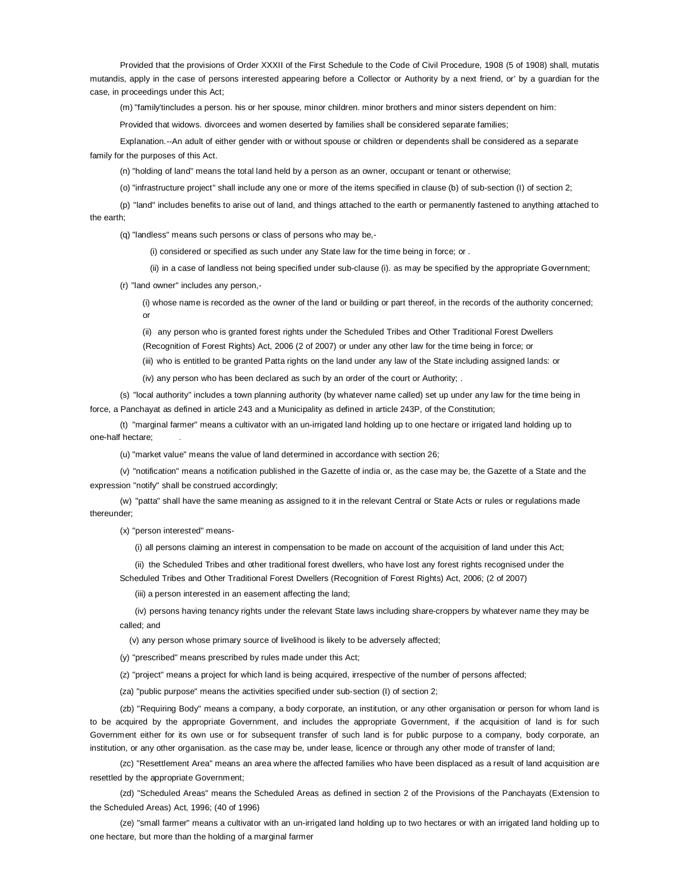Provided that the provisions of Order XXXII of the First Schedule to the Code of Civil Procedure, 1908 (5 of 1908) shall, mutatis mutandis, apply in the case of persons interested appearing before a Collector or Authority by a next friend, or' by a guardian for the case, in proceedings under this Act;

(m) "family'tincludes a person. his or her spouse, minor children. minor brothers and minor sisters dependent on him:

Provided that widows. divorcees and women deserted by families shall be considered separate families;

Explanation.--An adult of either gender with or without spouse or children or dependents shall be considered as a separate family for the purposes of this Act.

(n) "holding of land" means the total land held by a person as an owner, occupant or tenant or otherwise;

(o) "infrastructure project" shall include any one or more of the items specified in clause (b) of sub-section (I) of section 2;

(p) "land" includes benefits to arise out of land, and things attached to the earth or permanently fastened to anything attached to the earth;

(q) "landless" means such persons or class of persons who may be,-

(i) considered or specified as such under any State law for the time being in force; or .

(ii) in a case of landless not being specified under sub-clause (i). as may be specified by the appropriate Government;

(r) "land owner" includes any person,-

(i) whose name is recorded as the owner of the land or building or part thereof, in the records of the authority concerned; or

(ii) any person who is granted forest rights under the Scheduled Tribes and Other Traditional Forest Dwellers

(Recognition of Forest Rights) Act, 2006 (2 of 2007) or under any other law for the time being in force; or

(iii) who is entitled to be granted Patta rights on the land under any law of the State including assigned lands: or

(iv) any person who has been declared as such by an order of the court or Authority; .

(s) "local authority" includes a town planning authority (by whatever name called) set up under any law for the time being in force, a Panchayat as defined in article 243 and a Municipality as defined in article 243P, of the Constitution;

(t) "marginal farmer" means a cultivator with an un-irrigated land holding up to one hectare or irrigated land holding up to one-half hectare;

(u) "market value" means the value of land determined in accordance with section 26;

(v) "notification" means a notification published in the Gazette of india or, as the case may be, the Gazette of a State and the expression "notify" shall be construed accordingly;

(w) "patta" shall have the same meaning as assigned to it in the relevant Central or State Acts or rules or regulations made thereunder;

(x) "person interested" means-

(i) all persons claiming an interest in compensation to be made on account of the acquisition of land under this Act;

(ii) the Scheduled Tribes and other traditional forest dwellers, who have lost any forest rights recognised under the

Scheduled Tribes and Other Traditional Forest Dwellers (Recognition of Forest Rights) Act, 2006; (2 of 2007)

(iii) a person interested in an easement affecting the land;

(iv) persons having tenancy rights under the relevant State laws including share-croppers by whatever name they may be called; and

(v) any person whose primary source of livelihood is likely to be adversely affected;

(y) "prescribed" means prescribed by rules made under this Act;

(z) "project" means a project for which land is being acquired, irrespective of the number of persons affected;

(za) "public purpose" means the activities specified under sub-section (I) of section 2;

(zb) "Requiring Body" means a company, a body corporate, an institution, or any other organisation or person for whom land is to be acquired by the appropriate Government, and includes the appropriate Government, if the acquisition of land is for such Government either for its own use or for subsequent transfer of such land is for public purpose to a company, body corporate, an institution, or any other organisation. as the case may be, under lease, licence or through any other mode of transfer of land;

(zc) "Resettlement Area" means an area where the affected families who have been displaced as a result of land acquisition are resettled by the appropriate Government;

(zd) "Scheduled Areas" means the Scheduled Areas as defined in section 2 of the Provisions of the Panchayats (Extension to the Scheduled Areas) Act, 1996; (40 of 1996)

(ze) "small farmer" means a cultivator with an un-irrigated land holding up to two hectares or with an irrigated land holding up to one hectare, but more than the holding of a marginal farmer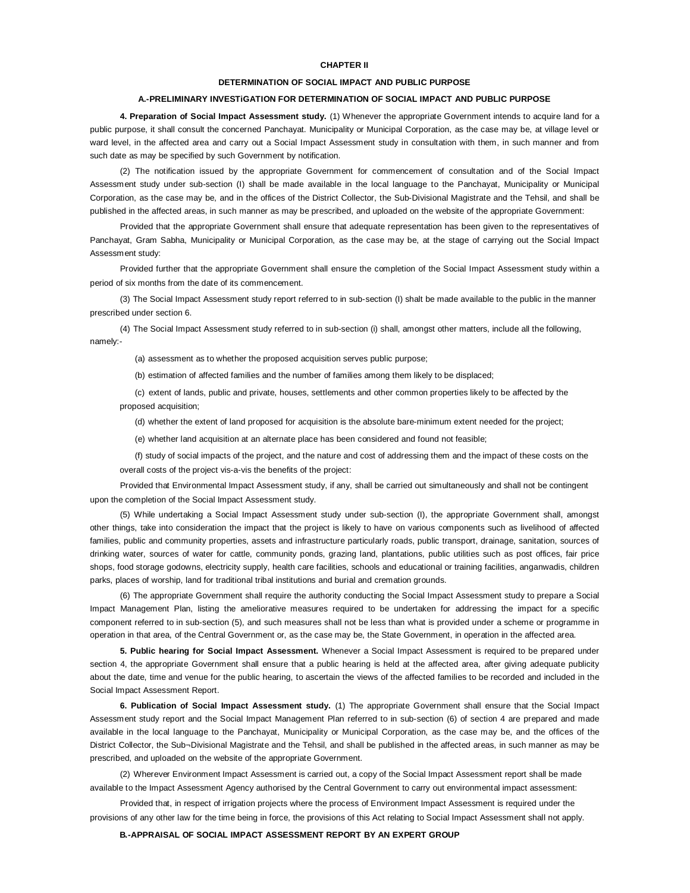## **CHAPTER II**

#### **DETERMINATION OF SOCIAL IMPACT AND PUBLIC PURPOSE**

## **A.-PRELIMINARY INVESTiGATION FOR DETERMINATION OF SOCIAL IMPACT AND PUBLIC PURPOSE**

**4. Preparation of Social Impact Assessment study.** (1) Whenever the appropriate Government intends to acquire land for a public purpose, it shall consult the concerned Panchayat. Municipality or Municipal Corporation, as the case may be, at village level or ward level, in the affected area and carry out a Social Impact Assessment study in consultation with them, in such manner and from such date as may be specified by such Government by notification.

(2) The notification issued by the appropriate Government for commencement of consultation and of the Social Impact Assessment study under sub-section (I) shall be made available in the local language to the Panchayat, Municipality or Municipal Corporation, as the case may be, and in the offices of the District Collector, the Sub-Divisional Magistrate and the Tehsil, and shall be published in the affected areas, in such manner as may be prescribed, and uploaded on the website of the appropriate Government:

Provided that the appropriate Government shall ensure that adequate representation has been given to the representatives of Panchayat, Gram Sabha, Municipality or Municipal Corporation, as the case may be, at the stage of carrying out the Social Impact Assessment study:

Provided further that the appropriate Government shall ensure the completion of the Social Impact Assessment study within a period of six months from the date of its commencement.

(3) The Social Impact Assessment study report referred to in sub-section (I) shalt be made available to the public in the manner prescribed under section 6.

(4) The Social Impact Assessment study referred to in sub-section (i) shall, amongst other matters, include all the following, namely:-

(a) assessment as to whether the proposed acquisition serves public purpose;

(b) estimation of affected families and the number of families among them likely to be displaced;

(c) extent of lands, public and private, houses, settlements and other common properties likely to be affected by the proposed acquisition;

(d) whether the extent of land proposed for acquisition is the absolute bare-minimum extent needed for the project;

(e) whether land acquisition at an alternate place has been considered and found not feasible;

(f) study of social impacts of the project, and the nature and cost of addressing them and the impact of these costs on the overall costs of the project vis-a-vis the benefits of the project:

Provided that Environmental Impact Assessment study, if any, shall be carried out simultaneously and shall not be contingent upon the completion of the Social Impact Assessment study.

(5) While undertaking a Social Impact Assessment study under sub-section (I), the appropriate Government shall, amongst other things, take into consideration the impact that the project is likely to have on various components such as livelihood of affected families, public and community properties, assets and infrastructure particularly roads, public transport, drainage, sanitation, sources of drinking water, sources of water for cattle, community ponds, grazing land, plantations, public utilities such as post offices, fair price shops, food storage godowns, electricity supply, health care facilities, schools and educational or training facilities, anganwadis, children parks, places of worship, land for traditional tribal institutions and burial and cremation grounds.

(6) The appropriate Government shall require the authority conducting the Social Impact Assessment study to prepare a Social Impact Management Plan, listing the ameliorative measures required to be undertaken for addressing the impact for a specific component referred to in sub-section (5), and such measures shall not be less than what is provided under a scheme or programme in operation in that area, of the Central Government or, as the case may be, the State Government, in operation in the affected area.

**5. Public hearing for Social Impact Assessment.** Whenever a Social Impact Assessment is required to be prepared under section 4, the appropriate Government shall ensure that a public hearing is held at the affected area, after giving adequate publicity about the date, time and venue for the public hearing, to ascertain the views of the affected families to be recorded and included in the Social Impact Assessment Report.

**6. Publication of Social Impact Assessment study.** (1) The appropriate Government shall ensure that the Social Impact Assessment study report and the Social Impact Management Plan referred to in sub-section (6) of section 4 are prepared and made available in the local language to the Panchayat, Municipality or Municipal Corporation, as the case may be, and the offices of the District Collector, the Sub¬Divisional Magistrate and the Tehsil, and shall be published in the affected areas, in such manner as may be prescribed, and uploaded on the website of the appropriate Government.

(2) Wherever Environment Impact Assessment is carried out, a copy of the Social Impact Assessment report shall be made available to the Impact Assessment Agency authorised by the Central Government to carry out environmental impact assessment:

Provided that, in respect of irrigation projects where the process of Environment Impact Assessment is required under the provisions of any other law for the time being in force, the provisions of this Act relating to Social Impact Assessment shall not apply.

**B.-APPRAISAL OF SOCIAL IMPACT ASSESSMENT REPORT BY AN EXPERT GROUP**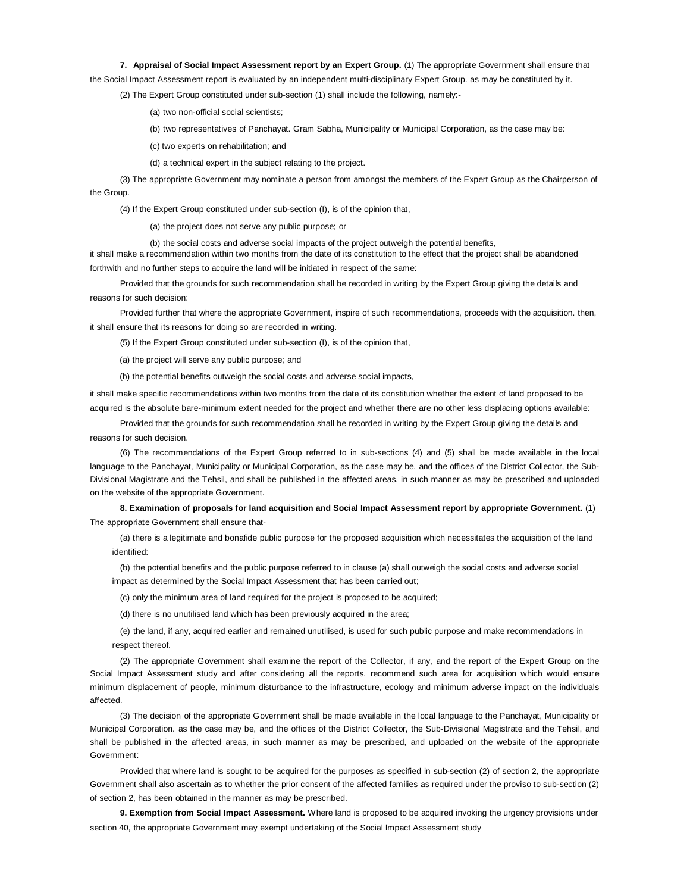**7. Appraisal of Social Impact Assessment report by an Expert Group.** (1) The appropriate Government shall ensure that the Social Impact Assessment report is evaluated by an independent multi-disciplinary Expert Group. as may be constituted by it.

(2) The Expert Group constituted under sub-section (1) shall include the following, namely:-

(a) two non-official social scientists;

(b) two representatives of Panchayat. Gram Sabha, Municipality or Municipal Corporation, as the case may be:

(c) two experts on rehabilitation; and

(d) a technical expert in the subject relating to the project.

(3) The appropriate Government may nominate a person from amongst the members of the Expert Group as the Chairperson of the Group.

(4) If the Expert Group constituted under sub-section (I), is of the opinion that,

(a) the project does not serve any public purpose; or

(b) the social costs and adverse social impacts of the project outweigh the potential benefits, it shall make a recommendation within two months from the date of its constitution to the effect that the project shall be abandoned forthwith and no further steps to acquire the land will be initiated in respect of the same:

Provided that the grounds for such recommendation shall be recorded in writing by the Expert Group giving the details and reasons for such decision:

Provided further that where the appropriate Government, inspire of such recommendations, proceeds with the acquisition. then, it shall ensure that its reasons for doing so are recorded in writing.

(5) If the Expert Group constituted under sub-section (I), is of the opinion that,

(a) the project will serve any public purpose; and

(b) the potential benefits outweigh the social costs and adverse social impacts,

it shall make specific recommendations within two months from the date of its constitution whether the extent of land proposed to be acquired is the absolute bare-minimum extent needed for the project and whether there are no other less displacing options available:

Provided that the grounds for such recommendation shall be recorded in writing by the Expert Group giving the details and reasons for such decision.

(6) The recommendations of the Expert Group referred to in sub-sections (4) and (5) shall be made available in the local language to the Panchayat, Municipality or Municipal Corporation, as the case may be, and the offices of the District Collector, the Sub-Divisional Magistrate and the Tehsil, and shall be published in the affected areas, in such manner as may be prescribed and uploaded on the website of the appropriate Government.

**8. Examination of proposals for land acquisition and Social Impact Assessment report by appropriate Government.** (1) The appropriate Government shall ensure that-

(a) there is a legitimate and bonafide public purpose for the proposed acquisition which necessitates the acquisition of the land identified:

(b) the potential benefits and the public purpose referred to in clause (a) shall outweigh the social costs and adverse social impact as determined by the Social Impact Assessment that has been carried out;

(c) only the minimum area of land required for the project is proposed to be acquired;

(d) there is no unutilised land which has been previously acquired in the area;

(e) the land, if any, acquired earlier and remained unutilised, is used for such public purpose and make recommendations in respect thereof.

(2) The appropriate Government shall examine the report of the Collector, if any, and the report of the Expert Group on the Social Impact Assessment study and after considering all the reports, recommend such area for acquisition which would ensure minimum displacement of people, minimum disturbance to the infrastructure, ecology and minimum adverse impact on the individuals affected.

(3) The decision of the appropriate Government shall be made available in the local language to the Panchayat, Municipality or Municipal Corporation. as the case may be, and the offices of the District Collector, the Sub-Divisional Magistrate and the Tehsil, and shall be published in the affected areas, in such manner as may be prescribed, and uploaded on the website of the appropriate Government:

Provided that where land is sought to be acquired for the purposes as specified in sub-section (2) of section 2, the appropriate Government shall also ascertain as to whether the prior consent of the affected families as required under the proviso to sub-section (2) of section 2, has been obtained in the manner as may be prescribed.

**9. Exemption from Social Impact Assessment.** Where land is proposed to be acquired invoking the urgency provisions under section 40, the appropriate Government may exempt undertaking of the Social lmpact Assessment study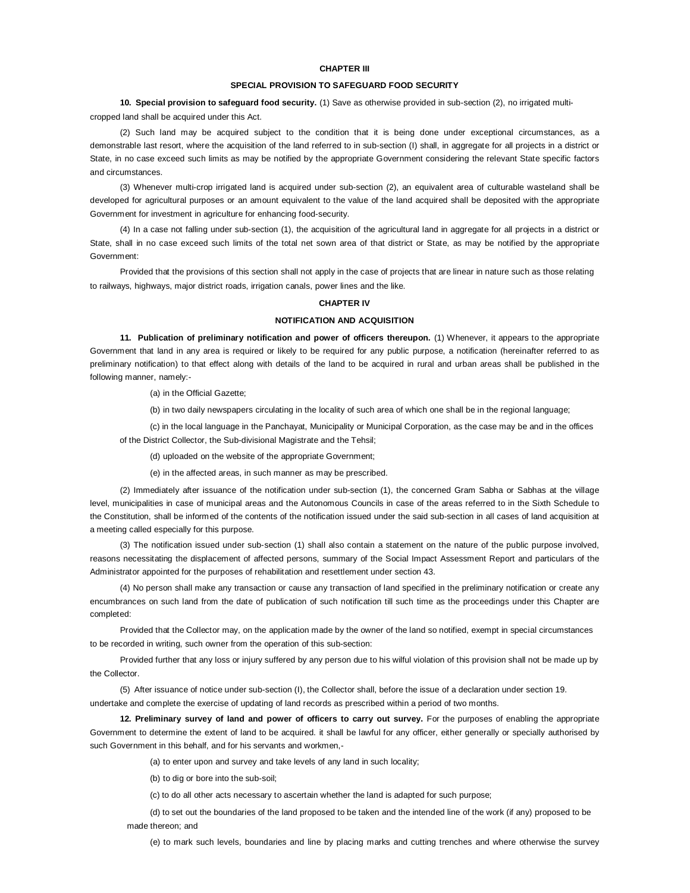## **CHAPTER III**

#### **SPECIAL PROVISION TO SAFEGUARD FOOD SECURITY**

**10. Special provision to safeguard food security.** (1) Save as otherwise provided in sub-section (2), no irrigated multicropped land shall be acquired under this Act.

(2) Such land may be acquired subject to the condition that it is being done under exceptional circumstances, as a demonstrable last resort, where the acquisition of the land referred to in sub-section (I) shall, in aggregate for all projects in a district or State, in no case exceed such limits as may be notified by the appropriate Government considering the relevant State specific factors and circumstances.

(3) Whenever multi-crop irrigated land is acquired under sub-section (2), an equivalent area of culturable wasteland shall be developed for agricultural purposes or an amount equivalent to the value of the land acquired shall be deposited with the appropriate Government for investment in agriculture for enhancing food-security.

(4) In a case not falling under sub-section (1), the acquisition of the agricultural land in aggregate for all projects in a district or State, shall in no case exceed such limits of the total net sown area of that district or State, as may be notified by the appropriate Government:

Provided that the provisions of this section shall not apply in the case of projects that are linear in nature such as those relating to railways, highways, major district roads, irrigation canals, power lines and the like.

## **CHAPTER IV**

#### **NOTIFICATION AND ACQUISITION**

**11. Publication of preliminary notification and power of officers thereupon.** (1) Whenever, it appears to the appropriate Government that land in any area is required or likely to be required for any public purpose, a notification (hereinafter referred to as preliminary notification) to that effect along with details of the land to be acquired in rural and urban areas shall be published in the following manner, namely:-

(a) in the Official Gazette;

(b) in two daily newspapers circulating in the locality of such area of which one shall be in the regional language;

(c) in the local language in the Panchayat, Municipality or Municipal Corporation, as the case may be and in the offices of the District Collector, the Sub-divisional Magistrate and the Tehsil;

(d) uploaded on the website of the appropriate Government;

(e) in the affected areas, in such manner as may be prescribed.

(2) Immediately after issuance of the notification under sub-section (1), the concerned Gram Sabha or Sabhas at the village level, municipalities in case of municipal areas and the Autonomous Councils in case of the areas referred to in the Sixth Schedule to the Constitution, shall be informed of the contents of the notification issued under the said sub-section in all cases of land acquisition at a meeting called especially for this purpose.

(3) The notification issued under sub-section (1) shall also contain a statement on the nature of the public purpose involved, reasons necessitating the displacement of affected persons, summary of the Social Impact Assessment Report and particulars of the Administrator appointed for the purposes of rehabilitation and resettlement under section 43.

(4) No person shall make any transaction or cause any transaction of land specified in the preliminary notification or create any encumbrances on such land from the date of publication of such notification till such time as the proceedings under this Chapter are completed:

Provided that the Collector may, on the application made by the owner of the land so notified, exempt in special circumstances to be recorded in writing, such owner from the operation of this sub-section:

Provided further that any loss or injury suffered by any person due to his wilful violation of this provision shall not be made up by the Collector.

(5) After issuance of notice under sub-section (I), the Collector shall, before the issue of a declaration under section 19. undertake and complete the exercise of updating of land records as prescribed within a period of two months.

**12. Preliminary survey of land and power of officers to carry out survey.** For the purposes of enabling the appropriate Government to determine the extent of land to be acquired. it shall be lawful for any officer, either generally or specially authorised by such Government in this behalf, and for his servants and workmen,-

(a) to enter upon and survey and take levels of any land in such locality;

(b) to dig or bore into the sub-soil;

(c) to do all other acts necessary to ascertain whether the land is adapted for such purpose;

(d) to set out the boundaries of the land proposed to be taken and the intended line of the work (if any) proposed to be made thereon; and

(e) to mark such levels, boundaries and line by placing marks and cutting trenches and where otherwise the survey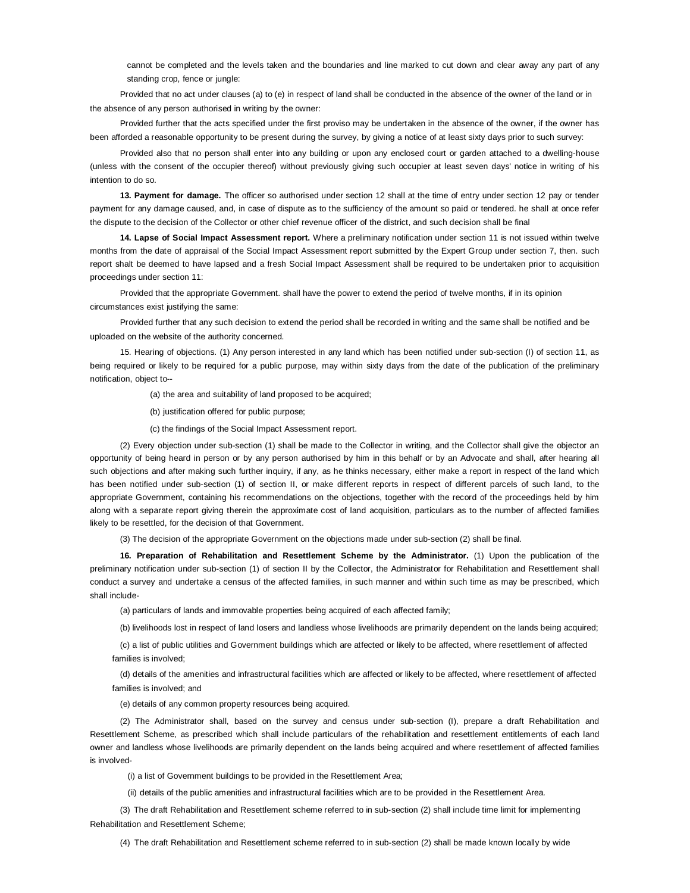cannot be completed and the levels taken and the boundaries and line marked to cut down and clear away any part of any standing crop, fence or jungle:

Provided that no act under clauses (a) to (e) in respect of land shall be conducted in the absence of the owner of the land or in the absence of any person authorised in writing by the owner:

Provided further that the acts specified under the first proviso may be undertaken in the absence of the owner, if the owner has been afforded a reasonable opportunity to be present during the survey, by giving a notice of at least sixty days prior to such survey:

Provided also that no person shall enter into any building or upon any enclosed court or garden attached to a dwelling-house (unless with the consent of the occupier thereof) without previously giving such occupier at least seven days' notice in writing of his intention to do so.

**13. Payment for damage.** The officer so authorised under section 12 shall at the time of entry under section 12 pay or tender payment for any damage caused, and, in case of dispute as to the sufficiency of the amount so paid or tendered. he shall at once refer the dispute to the decision of the Collector or other chief revenue officer of the district, and such decision shall be final

**14. Lapse of Social Impact Assessment report.** Where a preliminary notification under section 11 is not issued within twelve months from the date of appraisal of the Social Impact Assessment report submitted by the Expert Group under section 7, then. such report shalt be deemed to have lapsed and a fresh Social Impact Assessment shall be required to be undertaken prior to acquisition proceedings under section 11:

Provided that the appropriate Government. shall have the power to extend the period of twelve months, if in its opinion circumstances exist justifying the same:

Provided further that any such decision to extend the period shall be recorded in writing and the same shall be notified and be uploaded on the website of the authority concerned.

15. Hearing of objections. (1) Any person interested in any land which has been notified under sub-section (I) of section 11, as being required or likely to be required for a public purpose, may within sixty days from the date of the publication of the preliminary notification, object to--

(a) the area and suitability of land proposed to be acquired;

(b) justification offered for public purpose;

(c) the findings of the Social Impact Assessment report.

(2) Every objection under sub-section (1) shall be made to the Collector in writing, and the Collector shall give the objector an opportunity of being heard in person or by any person authorised by him in this behalf or by an Advocate and shall, after hearing all such objections and after making such further inquiry, if any, as he thinks necessary, either make a report in respect of the land which has been notified under sub-section (1) of section II, or make different reports in respect of different parcels of such land, to the appropriate Government, containing his recommendations on the objections, together with the record of the proceedings held by him along with a separate report giving therein the approximate cost of land acquisition, particulars as to the number of affected families likely to be resettled, for the decision of that Government.

(3) The decision of the appropriate Government on the objections made under sub-section (2) shall be final.

**16. Preparation of Rehabilitation and Resettlement Scheme by the Administrator.** (1) Upon the publication of the preliminary notification under sub-section (1) of section II by the Collector, the Administrator for Rehabilitation and Resettlement shall conduct a survey and undertake a census of the affected families, in such manner and within such time as may be prescribed, which shall include-

(a) particulars of lands and immovable properties being acquired of each affected family;

(b) livelihoods lost in respect of land losers and landless whose livelihoods are primariIy dependent on the lands being acquired;

(c) a list of public utilities and Government buildings which are atfected or likely to be affected, where resettlement of affected families is involved;

(d) details of the amenities and infrastructural facilities which are affected or likely to be affected, where resettlement of affected families is involved; and

(e) details of any common property resources being acquired.

(2) The Administrator shall, based on the survey and census under sub-section (I), prepare a draft Rehabilitation and Resettlement Scheme, as prescribed which shall include particulars of the rehabilitation and resettlement entitlements of each land owner and landless whose livelihoods are primarily dependent on the lands being acquired and where resettlement of affected families is involved-

(i) a list of Government buildings to be provided in the Resettlement Area;

(ii) details of the public amenities and infrastructural facilities which are to be provided in the Resettlement Area.

(3) The draft Rehabilitation and Resettlement scheme referred to in sub-section (2) shall include time limit for implementing Rehabilitation and Resettlement Scheme;

(4) The draft Rehabilitation and Resettlement scheme referred to in sub-section (2) shall be made known locally by wide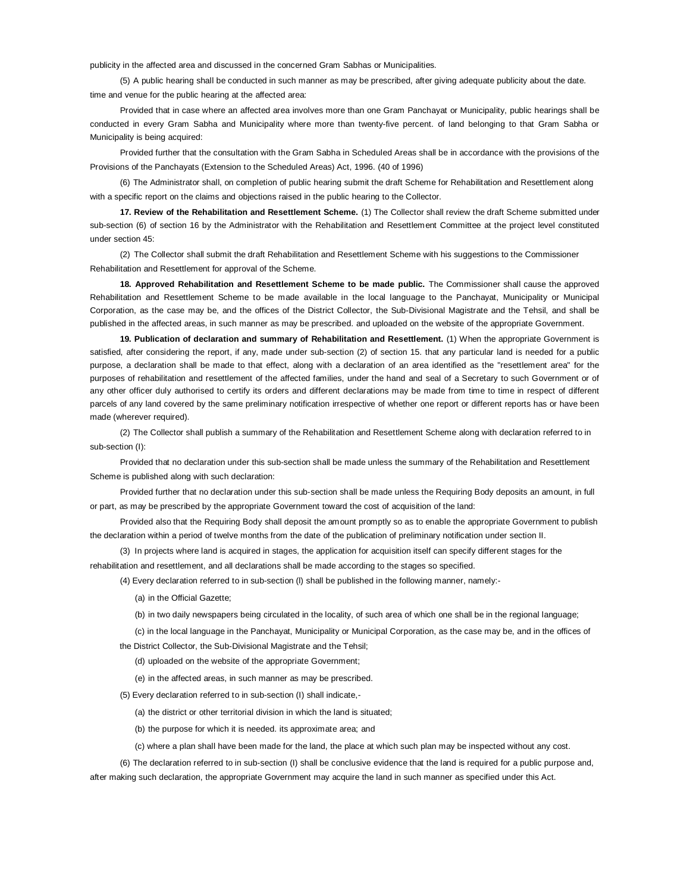publicity in the affected area and discussed in the concerned Gram Sabhas or Municipalities.

(5) A public hearing shall be conducted in such manner as may be prescribed, after giving adequate publicity about the date. time and venue for the public hearing at the affected area:

Provided that in case where an affected area involves more than one Gram Panchayat or Municipality, public hearings shall be conducted in every Gram Sabha and Municipality where more than twenty-five percent. of land belonging to that Gram Sabha or Municipality is being acquired:

Provided further that the consultation with the Gram Sabha in Scheduled Areas shall be in accordance with the provisions of the Provisions of the Panchayats (Extension to the Scheduled Areas) Act, 1996. (40 of 1996)

(6) The Administrator shall, on completion of public hearing submit the draft Scheme for Rehabilitation and Resettlement along with a specific report on the claims and objections raised in the public hearing to the Collector.

**17. Review of the Rehabilitation and Resettlement Scheme.** (1) The Collector shall review the draft Scheme submitted under sub-section (6) of section 16 by the Administrator with the Rehabilitation and Resettlement Committee at the project level constituted under section 45:

(2) The Collector shall submit the draft Rehabilitation and Resettlement Scheme with his suggestions to the Commissioner Rehabilitation and Resettlement for approval of the Scheme.

**18. Approved Rehabilitation and Resettlement Scheme to be made public.** The Commissioner shall cause the approved Rehabilitation and Resettlement Scheme to be made available in the local language to the Panchayat, Municipality or Municipal Corporation, as the case may be, and the offices of the District Collector, the Sub-Divisional Magistrate and the Tehsil, and shall be published in the affected areas, in such manner as may be prescribed. and uploaded on the website of the appropriate Government.

**19. Publication of declaration and summary of Rehabilitation and Resettlement.** (1) When the appropriate Government is satisfied, after considering the report, if any, made under sub-section (2) of section 15. that any particular land is needed for a public purpose, a declaration shall be made to that effect, along with a declaration of an area identified as the "resettlement area" for the purposes of rehabilitation and resettlement of the affected families, under the hand and seal of a Secretary to such Government or of any other officer duly authorised to certify its orders and different declarations may be made from time to time in respect of different parcels of any land covered by the same preliminary notification irrespective of whether one report or different reports has or have been made (wherever required).

(2) The Collector shall publish a summary of the Rehabilitation and Resettlement Scheme along with declaration referred to in sub-section (I):

Provided that no declaration under this sub-section shall be made unless the summary of the Rehabilitation and Resettlement Scheme is published along with such declaration:

Provided further that no declaration under this sub-section shall be made unless the Requiring Body deposits an amount, in full or part, as may be prescribed by the appropriate Government toward the cost of acquisition of the land:

Provided also that the Requiring Body shall deposit the amount promptly so as to enable the appropriate Government to publish the declaration within a period of twelve months from the date of the publication of preliminary notification under section II.

(3) In projects where land is acquired in stages, the application for acquisition itself can specify different stages for the rehabilitation and resettlement, and all declarations shall be made according to the stages so specified.

(4) Every declaration referred to in sub-section (l) shall be published in the following manner, namely:-

(a) in the Official Gazette;

(b) in two daily newspapers being circulated in the locality, of such area of which one shall be in the regional language;

(c) in the local language in the Panchayat, Municipality or Municipal Corporation, as the case may be, and in the offices of

the District Collector, the Sub-Divisional Magistrate and the Tehsil;

(d) uploaded on the website of the appropriate Government;

(e) in the affected areas, in such manner as may be prescribed.

(5) Every declaration referred to in sub-section (I) shall indicate,-

(a) the district or other territorial division in which the land is situated;

(b) the purpose for which it is needed. its approximate area; and

(c) where a plan shall have been made for the land, the place at which such plan may be inspected without any cost.

(6) The declaration referred to in sub-section (I) shall be conclusive evidence that the land is required for a public purpose and,

after making such declaration, the appropriate Government may acquire the land in such manner as specified under this Act.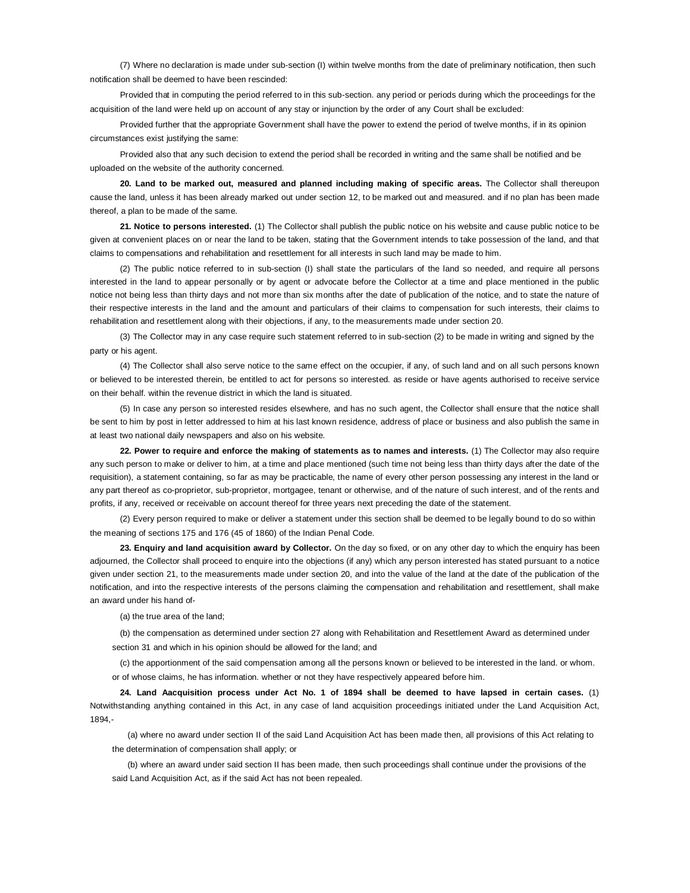(7) Where no declaration is made under sub-section (I) within twelve months from the date of preliminary notification, then such notification shall be deemed to have been rescinded:

Provided that in computing the period referred to in this sub-section. any period or periods during which the proceedings for the acquisition of the land were held up on account of any stay or injunction by the order of any Court shall be excluded:

Provided further that the appropriate Government shall have the power to extend the period of twelve months, if in its opinion circumstances exist justifying the same:

Provided also that any such decision to extend the period shall be recorded in writing and the same shall be notified and be uploaded on the website of the authority concerned.

**20. Land to be marked out, measured and planned including making of specific areas.** The Collector shall thereupon cause the land, unless it has been already marked out under section 12, to be marked out and measured. and if no plan has been made thereof, a plan to be made of the same.

**21. Notice to persons interested.** (1) The Collector shall publish the public notice on his website and cause public notice to be given at convenient places on or near the land to be taken, stating that the Government intends to take possession of the land, and that claims to compensations and rehabilitation and resettlement for all interests in such land may be made to him.

(2) The public notice referred to in sub-section (I) shall state the particulars of the land so needed, and require all persons interested in the land to appear personally or by agent or advocate before the Collector at a time and place mentioned in the public notice not being less than thirty days and not more than six months after the date of publication of the notice, and to state the nature of their respective interests in the land and the amount and particulars of their claims to compensation for such interests, their claims to rehabilitation and resettlement along with their objections, if any, to the measurements made under section 20.

(3) The Collector may in any case require such statement referred to in sub-section (2) to be made in writing and signed by the party or his agent.

(4) The Collector shall also serve notice to the same effect on the occupier, if any, of such land and on all such persons known or believed to be interested therein, be entitled to act for persons so interested. as reside or have agents authorised to receive service on their behalf. within the revenue district in which the land is situated.

(5) In case any person so interested resides elsewhere, and has no such agent, the Collector shall ensure that the notice shall be sent to him by post in letter addressed to him at his last known residence, address of place or business and also publish the same in at least two national daily newspapers and also on his website.

**22. Power to require and enforce the making of statements as to names and interests.** (1) The Collector may also require any such person to make or deliver to him, at a time and place mentioned (such time not being less than thirty days after the date of the requisition), a statement containing, so far as may be practicable, the name of every other person possessing any interest in the land or any part thereof as co-proprietor, sub-proprietor, mortgagee, tenant or otherwise, and of the nature of such interest, and of the rents and profits, if any, received or receivable on account thereof for three years next preceding the date of the statement.

(2) Every person required to make or deliver a statement under this section shall be deemed to be legally bound to do so within the meaning of sections 175 and 176 (45 of 1860) of the Indian Penal Code.

**23. Enquiry and land acquisition award by Collector.** On the day so fixed, or on any other day to which the enquiry has been adjourned, the Collector shall proceed to enquire into the objections (if any) which any person interested has stated pursuant to a notice given under section 21, to the measurements made under section 20, and into the value of the land at the date of the publication of the notification, and into the respective interests of the persons claiming the compensation and rehabilitation and resettlement, shall make an award under his hand of-

(a) the true area of the land;

(b) the compensation as determined under section 27 along with Rehabilitation and Resettlement Award as determined under section 31 and which in his opinion should be allowed for the land; and

(c) the apportionment of the said compensation among all the persons known or believed to be interested in the land. or whom. or of whose claims, he has information. whether or not they have respectively appeared before him.

**24. Land Aacquisition process under Act No. 1 of 1894 shall be deemed to have lapsed in certain cases.** (1) Notwithstanding anything contained in this Act, in any case of land acquisition proceedings initiated under the Land Acquisition Act, 1894,-

(a) where no award under section II of the said Land Acquisition Act has been made then, all provisions of this Act relating to the determination of compensation shall apply; or

(b) where an award under said section II has been made, then such proceedings shall continue under the provisions of the said Land Acquisition Act, as if the said Act has not been repealed.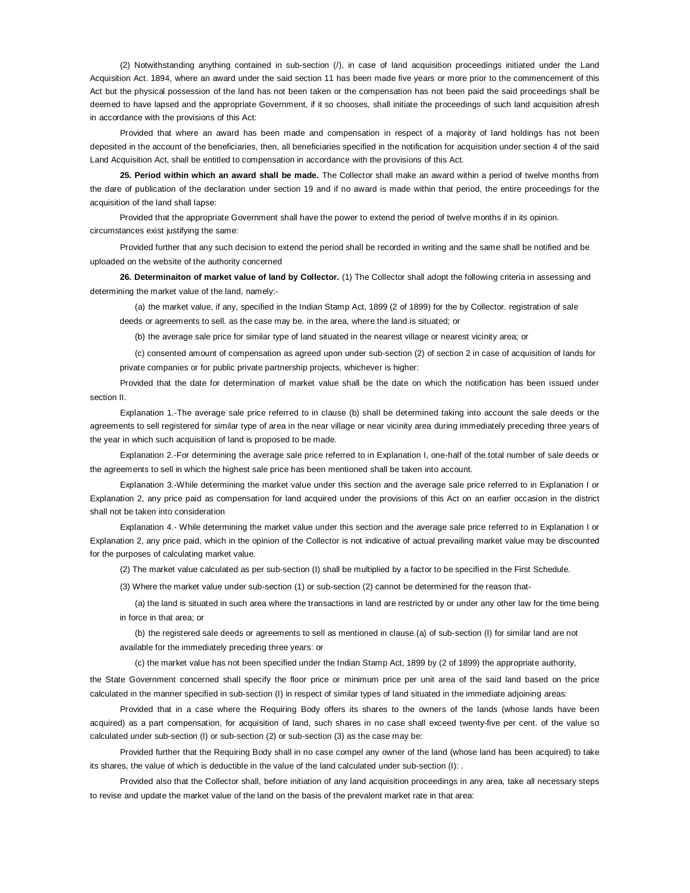(2) Notwithstanding anything contained in sub-section (/), in case of land acquisition proceedings initiated under the Land Acquisition Act. 1894, where an award under the said section 11 has been made five years or more prior to the commencement of this Act but the physical possession of the land has not been taken or the compensation has not been paid the said proceedings shall be deemed to have lapsed and the appropriate Government, if it so chooses, shall initiate the proceedings of such land acquisition afresh in accordance with the provisions of this Act:

Provided that where an award has been made and compensation in respect of a majority of land holdings has not been deposited in the account of the beneficiaries, then, all beneficiaries specified in the notification for acquisition under section 4 of the said Land Acquisition Act, shall be entitled to compensation in accordance with the provisions of this Act.

**25. Period within which an award shall be made.** The Collector shall make an award within a period of twelve months from the dare of publication of the declaration under section 19 and if no award is made within that period, the entire proceedings for the acquisition of the land shall lapse:

Provided that the appropriate Government shall have the power to extend the period of twelve months if in its opinion. circumstances exist justifying the same:

Provided further that any such decision to extend the period shall be recorded in writing and the same shall be notified and be uploaded on the website of the authority concerned

**26. Determinaiton of market value of land by Collector.** (1) The Collector shall adopt the following criteria in assessing and determining the market value of the land, namely:-

(a) the market value, if any, specified in the Indian Stamp Act, 1899 (2 of 1899) for the by Collector. registration of sale deeds or agreements to sell. as the case may be. in the area, where the land is situated; or

(b) the average sale price for similar type of land situated in the nearest village or nearest vicinity area; or

(c) consented amount of compensation as agreed upon under sub-section (2) of section 2 in case of acquisition of lands for private companies or for public private partnership projects, whichever is higher:

Provided that the date for determination of market value shall be the date on which the notification has been issued under section II.

Explanation 1.-The average sale price referred to in clause (b) shall be determined taking into account the sale deeds or the agreements to sell registered for similar type of area in the near village or near vicinity area during immediately preceding three years of the year in which such acquisition of land is proposed to be made.

Explanation 2.-For determining the average sale price referred to in Explanation I, one-half of the.total number of sale deeds or the agreements to sell in which the highest sale price has been mentioned shall be taken into account.

Explanation 3.-While determining the market value under this section and the average sale price referred to in Explanation I or Explanation 2, any price paid as compensation for land acquired under the provisions of this Act on an earlier occasion in the district shall not be taken into consideration

Explanation 4.- While determining the market value under this section and the average sale price referred to in Explanation I or Explanation 2, any price paid, which in the opinion of the Collector is not indicative of actual prevailing market value may be discounted for the purposes of calculating market value.

(2) The market value calculated as per sub-section (I) shall be multiplied by a factor to be specified in the First Schedule.

(3) Where the market value under sub-section (1) or sub-section (2) cannot be determined for the reason that-

(a) the land is situated in such area where the transactions in land are restricted by or under any other law for the time being in force in that area; or

(b) the registered sale deeds or agreements to sell as mentioned in clause.(a) of sub-section (I) for similar land are not available for the immediately preceding three years: or

(c) the market value has not been specified under the Indian Stamp Act, 1899 by (2 of 1899) the appropriate authority,

the State Government concerned shall specify the floor price or minimum price per unit area of the said land based on the price calculated in the manner specified in sub-section (I) in respect of similar types of land situated in the immediate adjoining areas:

Provided that in a case where the Requiring Body offers its shares to the owners of the lands (whose lands have been acquired) as a part compensation, for acquisition of land, such shares in no case shall exceed twenty-five per cent. of the value so calculated under sub-section (I) or sub-section (2) or sub-section (3) as the case may be:

Provided further that the Requiring Body shall in no case compel any owner of the land (whose land has been acquired) to take its shares, the value of which is deductible in the value of the land calculated under sub-section (I): .

Provided also that the Collector shall, before initiation of any land acquisition proceedings in any area, take all necessary steps to revise and update the market value of the land on the basis of the prevalent market rate in that area: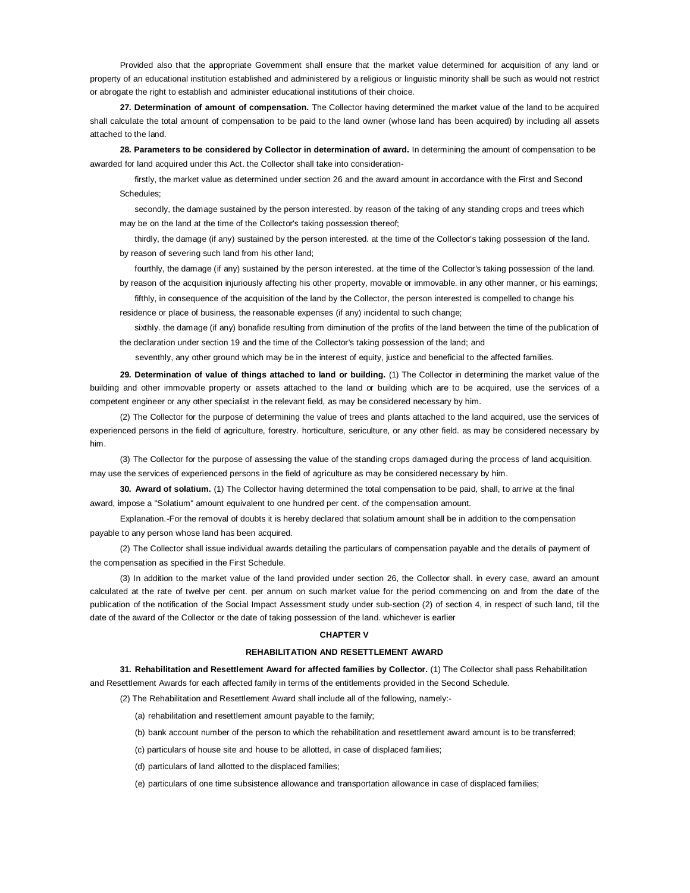Provided also that the appropriate Government shall ensure that the market value determined for acquisition of any land or property of an educational institution established and administered by a religious or linguistic minority shall be such as would not restrict or abrogate the right to establish and administer educational institutions of their choice.

**27. Determination of amount of compensation.** The Collector having determined the market value of the land to be acquired shall calculate the total amount of compensation to be paid to the land owner (whose land has been acquired) by including all assets attached to the land.

**28. Parameters to be considered by Collector in determination of award.** In determining the amount of compensation to be awarded for land acquired under this Act. the Collector shall take into consideration-

firstly, the market value as determined under section 26 and the award amount in accordance with the First and Second Schedules;

secondly, the damage sustained by the person interested. by reason of the taking of any standing crops and trees which may be on the land at the time of the Collector's taking possession thereof;

thirdly, the damage (if any) sustained by the person interested. at the time of the Collector's taking possession of the land. by reason of severing such land from his other land;

fourthly, the damage (if any) sustained by the person interested. at the time of the Collector's taking possession of the land. by reason of the acquisition injuriously affecting his other property, movable or immovable. in any other manner, or his earnings;

fifthly, in consequence of the acquisition of the land by the Collector, the person interested is compelled to change his residence or place of business, the reasonable expenses (if any) incidental to such change;

sixthly, the damage (if any) bonafide resulting from diminution of the profits of the land between the time of the publication of the declaration under section 19 and the time of the Collector's taking possession of the land; and

seventhly, any other ground which may be in the interest of equity, justice and beneficial to the affected families.

**29. Determination of value of things attached to land or building.** (1) The Collector in determining the market value of the building and other immovable property or assets attached to the land or building which are to be acquired, use the services of a competent engineer or any other specialist in the relevant field, as may be considered necessary by him.

(2) The Collector for the purpose of determining the value of trees and plants attached to the land acquired, use the services of experienced persons in the field of agriculture, forestry. horticulture, sericulture, or any other field. as may be considered necessary by him.

(3) The Collector for the purpose of assessing the value of the standing crops damaged during the process of land acquisition. may use the services of experienced persons in the field of agriculture as may be considered necessary by him.

**30. Award of solatium.** (1) The Collector having determined the total compensation to be paid, shall, to arrive at the final award, impose a "Solatium" amount equivalent to one hundred per cent. of the compensation amount.

Explanation.-For the removal of doubts it is hereby declared that solatium amount shall be in addition to the compensation payable to any person whose land has been acquired.

(2) The Collector shall issue individual awards detailing the particulars of compensation payable and the details of payment of the compensation as specified in the First Schedule.

(3) In addition to the market value of the land provided under section 26, the Collector shall. in every case, award an amount calculated at the rate of twelve per cent. per annum on such market value for the period commencing on and from the date of the publication of the notification of the Social Impact Assessment study under sub-section (2) of section 4, in respect of such land, till the date of the award of the Collector or the date of taking possession of the land. whichever is earlier

#### **CHAPTER V**

## **REHABILITATION AND RESETTLEMENT AWARD**

**31. Rehabilitation and Resettlement Award for affected families by Collector.** (1) The Collector shall pass Rehabilitation and Resettlement Awards for each affected family in terms of the entitlements provided in the Second Schedule.

(2) The Rehabilitation and Resettlement Award shall include all of the following, namely:-

- (a) rehabilitation and resettlement amount payable to the family;
- (b) bank account number of the person to which the rehabilitation and resettlement award amount is to be transferred;
- (c) particulars of house site and house to be allotted, in case of displaced families;
- (d) particulars of land allotted to the displaced families;
- (e) particulars of one time subsistence allowance and transportation allowance in case of displaced families;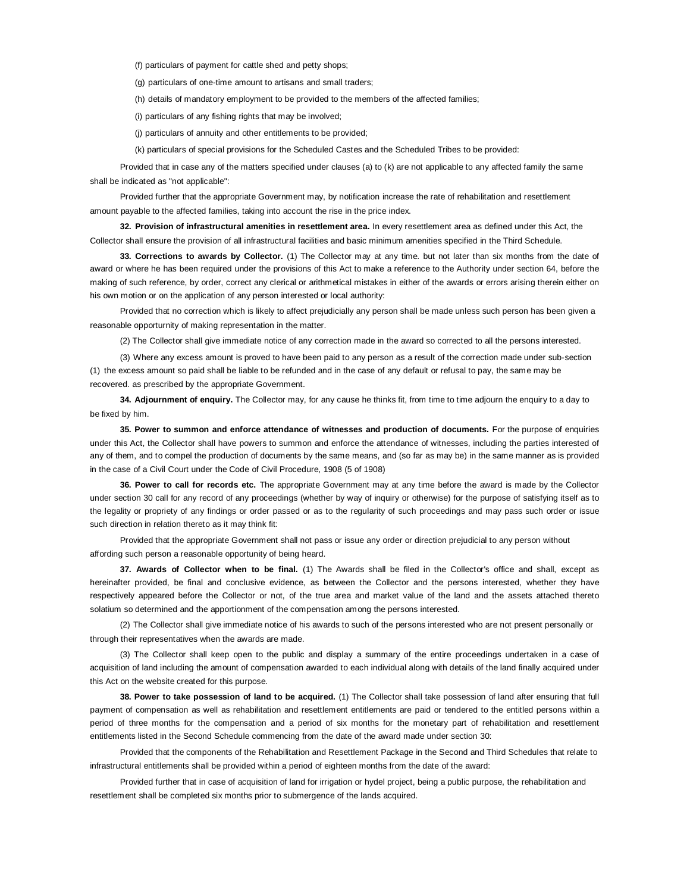(f) particulars of payment for cattle shed and petty shops;

(g) particulars of one-time amount to artisans and small traders;

(h) details of mandatory employment to be provided to the members of the affected families;

(i) particulars of any fishing rights that may be involved;

(j) particulars of annuity and other entitlements to be provided;

(k) particulars of special provisions for the Scheduled Castes and the Scheduled Tribes to be provided:

Provided that in case any of the matters specified under clauses (a) to (k) are not applicable to any affected family the same shall be indicated as "not applicable":

Provided further that the appropriate Government may, by notification increase the rate of rehabilitation and resettlement amount payable to the affected families, taking into account the rise in the price index.

**32. Provision of infrastructural amenities in resettlement area.** In every resettlement area as defined under this Act, the Collector shall ensure the provision of all infrastructural facilities and basic minimum amenities specified in the Third Schedule.

**33. Corrections to awards by Collector.** (1) The Collector may at any time. but not later than six months from the date of award or where he has been required under the provisions of this Act to make a reference to the Authority under section 64, before the making of such reference, by order, correct any clerical or arithmetical mistakes in either of the awards or errors arising therein either on his own motion or on the application of any person interested or local authority:

Provided that no correction which is likely to affect prejudicially any person shall be made unless such person has been given a reasonable opporturnity of making representation in the matter.

(2) The Collector shall give immediate notice of any correction made in the award so corrected to all the persons interested.

(3) Where any excess amount is proved to have been paid to any person as a result of the correction made under sub-section (1) the excess amount so paid shall be liable to be refunded and in the case of any default or refusal to pay, the same may be recovered. as prescribed by the appropriate Government.

**34. Adjournment of enquiry.** The Collector may, for any cause he thinks fit, from time to time adjourn the enquiry to a day to be fixed by him.

**35. Power to summon and enforce attendance of witnesses and production of documents.** For the purpose of enquiries under this Act, the Collector shall have powers to summon and enforce the attendance of witnesses, including the parties interested of any of them, and to compel the production of documents by the same means, and (so far as may be) in the same manner as is provided in the case of a Civil Court under the Code of Civil Procedure, 1908 (5 of 1908)

**36. Power to call for records etc.** The appropriate Government may at any time before the award is made by the Collector under section 30 call for any record of any proceedings (whether by way of inquiry or otherwise) for the purpose of satisfying itself as to the legality or propriety of any findings or order passed or as to the regularity of such proceedings and may pass such order or issue such direction in relation thereto as it may think fit:

Provided that the appropriate Government shall not pass or issue any order or direction prejudicial to any person without affording such person a reasonable opportunity of being heard.

**37. Awards of Collector when to be final.** (1) The Awards shall be filed in the Collector's office and shall, except as hereinafter provided, be final and conclusive evidence, as between the Collector and the persons interested, whether they have respectively appeared before the Collector or not, of the true area and market value of the land and the assets attached thereto solatium so determined and the apportionment of the compensation among the persons interested.

(2) The Collector shall give immediate notice of his awards to such of the persons interested who are not present personally or through their representatives when the awards are made.

(3) The Collector shall keep open to the public and display a summary of the entire proceedings undertaken in a case of acquisition of land including the amount of compensation awarded to each individual along with details of the land finally acquired under this Act on the website created for this purpose.

**38. Power to take possession of land to be acquired.** (1) The Collector shall take possession of land after ensuring that full payment of compensation as well as rehabilitation and resettlement entitlements are paid or tendered to the entitled persons within a period of three months for the compensation and a period of six months for the monetary part of rehabilitation and resettlement entitlements listed in the Second Schedule commencing from the date of the award made under section 30:

Provided that the components of the Rehabilitation and Resettlement Package in the Second and Third Schedules that relate to infrastructural entitlements shall be provided within a period of eighteen months from the date of the award:

Provided further that in case of acquisition of land for irrigation or hydel project, being a public purpose, the rehabilitation and resettlement shall be completed six months prior to submergence of the lands acquired.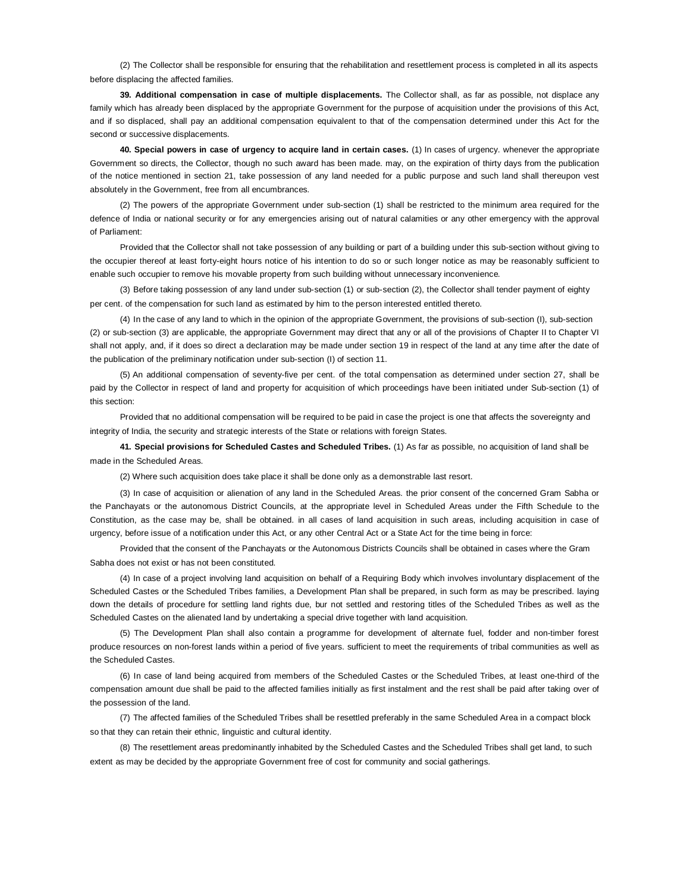(2) The Collector shall be responsible for ensuring that the rehabilitation and resettlement process is completed in all its aspects before displacing the affected families.

**39. Additional compensation in case of multiple displacements.** The Collector shall, as far as possible, not displace any family which has already been displaced by the appropriate Government for the purpose of acquisition under the provisions of this Act, and if so displaced, shall pay an additional compensation equivalent to that of the compensation determined under this Act for the second or successive displacements.

**40. Special powers in case of urgency to acquire land in certain cases.** (1) In cases of urgency. whenever the appropriate Government so directs, the Collector, though no such award has been made. may, on the expiration of thirty days from the publication of the notice mentioned in section 21, take possession of any land needed for a public purpose and such land shall thereupon vest absolutely in the Government, free from all encumbrances.

(2) The powers of the appropriate Government under sub-section (1) shall be restricted to the minimum area required for the defence of India or national security or for any emergencies arising out of natural calamities or any other emergency with the approval of Parliament:

Provided that the Collector shall not take possession of any building or part of a building under this sub-section without giving to the occupier thereof at least forty-eight hours notice of his intention to do so or such longer notice as may be reasonably sufficient to enable such occupier to remove his movable property from such building without unnecessary inconvenience.

(3) Before taking possession of any land under sub-section (1) or sub-section (2), the Collector shall tender payment of eighty per cent. of the compensation for such land as estimated by him to the person interested entitled thereto.

(4) In the case of any land to which in the opinion of the appropriate Government, the provisions of sub-section (I), sub-section (2) or sub-section (3) are applicable, the appropriate Government may direct that any or all of the provisions of Chapter II to Chapter VI shall not apply, and, if it does so direct a declaration may be made under section 19 in respect of the land at any time after the date of the publication of the preliminary notification under sub-section (I) of section 11.

(5) An additional compensation of seventy-five per cent. of the total compensation as determined under section 27, shall be paid by the Collector in respect of land and property for acquisition of which proceedings have been initiated under Sub-section (1) of this section:

Provided that no additional compensation will be required to be paid in case the project is one that affects the sovereignty and integrity of India, the security and strategic interests of the State or relations with foreign States.

**41. Special provisions for Scheduled Castes and Scheduled Tribes.** (1) As far as possible, no acquisition of land shall be made in the Scheduled Areas.

(2) Where such acquisition does take place it shall be done only as a demonstrable last resort.

(3) In case of acquisition or alienation of any land in the Scheduled Areas. the prior consent of the concerned Gram Sabha or the Panchayats or the autonomous District Councils, at the appropriate level in Scheduled Areas under the Fifth Schedule to the Constitution, as the case may be, shall be obtained. in all cases of land acquisition in such areas, including acquisition in case of urgency, before issue of a notification under this Act, or any other Central Act or a State Act for the time being in force:

Provided that the consent of the Panchayats or the Autonomous Districts Councils shall be obtained in cases where the Gram Sabha does not exist or has not been constituted.

(4) In case of a project involving land acquisition on behalf of a Requiring Body which involves involuntary displacement of the Scheduled Castes or the Scheduled Tribes families, a Development Plan shall be prepared, in such form as may be prescribed. laying down the details of procedure for settling land rights due, bur not settled and restoring titles of the Scheduled Tribes as well as the Scheduled Castes on the alienated land by undertaking a special drive together with land acquisition.

(5) The Development Plan shall also contain a programme for development of alternate fuel, fodder and non-timber forest produce resources on non-forest lands within a period of five years. sufficient to meet the requirements of tribal communities as well as the Scheduled Castes.

(6) In case of land being acquired from members of the Scheduled Castes or the Scheduled Tribes, at least one-third of the compensation amount due shall be paid to the affected families initially as first instalment and the rest shall be paid after taking over of the possession of the land.

(7) The affected families of the Scheduled Tribes shall be resettled preferably in the same Scheduled Area in a compact block so that they can retain their ethnic, linguistic and cultural identity.

(8) The resettlement areas predominantly inhabited by the Scheduled Castes and the Scheduled Tribes shall get land, to such extent as may be decided by the appropriate Government free of cost for community and social gatherings.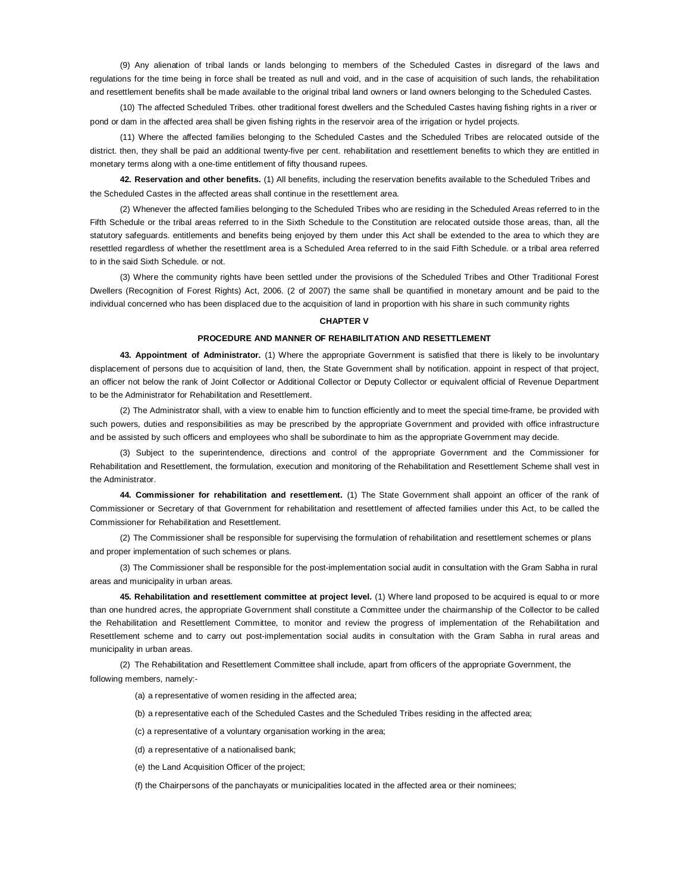(9) Any alienation of tribal lands or lands belonging to members of the Scheduled Castes in disregard of the laws and regulations for the time being in force shall be treated as null and void, and in the case of acquisition of such lands, the rehabilitation and resettlement benefits shall be made available to the original tribal land owners or land owners belonging to the Scheduled Castes.

(10) The affected Scheduled Tribes. other traditional forest dwellers and the Scheduled Castes having fishing rights in a river or pond or dam in the affected area shall be given fishing rights in the reservoir area of the irrigation or hydel projects.

(11) Where the affected families belonging to the Scheduled Castes and the Scheduled Tribes are relocated outside of the district. then, they shall be paid an additional twenty-five per cent. rehabilitation and resettlement benefits to which they are entitled in monetary terms along with a one-time entitlement of fifty thousand rupees.

**42. Reservation and other benefits.** (1) All benefits, including the reservation benefits available to the Scheduled Tribes and the Scheduled Castes in the affected areas shall continue in the resettlement area.

(2) Whenever the affected families belonging to the Scheduled Tribes who are residing in the Scheduled Areas referred to in the Fifth Schedule or the tribal areas referred to in the Sixth Schedule to the Constitution are relocated outside those areas, than, all the statutory safeguards. entitlements and benefits being enjoyed by them under this Act shall be extended to the area to which they are resettled regardless of whether the resettlment area is a Scheduled Area referred to in the said Fifth Schedule. or a tribal area referred to in the said Sixth Schedule. or not.

(3) Where the community rights have been settled under the provisions of the Scheduled Tribes and Other Traditional Forest Dwellers (Recognition of Forest Rights) Act, 2006. (2 of 2007) the same shall be quantified in monetary amount and be paid to the individual concerned who has been displaced due to the acquisition of land in proportion with his share in such community rights

## **CHAPTER V**

#### **PROCEDURE AND MANNER OF REHABILITATION AND RESETTLEMENT**

**43. Appointment of Administrator.** (1) Where the appropriate Government is satisfied that there is likely to be involuntary displacement of persons due to acquisition of land, then, the State Government shall by notification. appoint in respect of that project, an officer not below the rank of Joint Collector or Additional Collector or Deputy Collector or equivalent official of Revenue Department to be the Administrator for Rehabilitation and Resettlement.

(2) The Administrator shall, with a view to enable him to function efficiently and to meet the special time-frame, be provided with such powers, duties and responsibilities as may be prescribed by the appropriate Government and provided with office infrastructure and be assisted by such officers and employees who shall be subordinate to him as the appropriate Government may decide.

(3) Subject to the superintendence, directions and control of the appropriate Government and the Commissioner for Rehabilitation and Resettlement, the formulation, execution and monitoring of the Rehabilitation and Resettlement Scheme shall vest in the Administrator.

**44. Commissioner for rehabilitation and resettlement.** (1) The State Government shall appoint an officer of the rank of Commissioner or Secretary of that Government for rehabilitation and resettlement of affected families under this Act, to be called the Commissioner for Rehabilitation and Resettlement.

(2) The Commissioner shall be responsible for supervising the formulation of rehabilitation and resettlement schemes or plans and proper implementation of such schemes or plans.

(3) The Commissioner shall be responsible for the post-implementation social audit in consultation with the Gram Sabha in rural areas and municipality in urban areas.

**45. Rehabilitation and resettlement committee at project level.** (1) Where land proposed to be acquired is equal to or more than one hundred acres, the appropriate Government shall constitute a Committee under the chairmanship of the Collector to be called the Rehabilitation and Resettlement Committee, to monitor and review the progress of implementation of the Rehabilitation and Resettlement scheme and to carry out post-implementation social audits in consultation with the Gram Sabha in rural areas and municipality in urban areas.

(2) The Rehabilitation and Resettlement Committee shall include, apart from officers of the appropriate Government, the following members, namely:-

(a) a representative of women residing in the affected area;

(b) a representative each of the Scheduled Castes and the Scheduled Tribes residing in the affected area;

(c) a representative of a voluntary organisation working in the area;

(d) a representative of a nationalised bank;

(e) the Land Acquisition Officer of the project;

(f) the Chairpersons of the panchayats or municipalities located in the affected area or their nominees;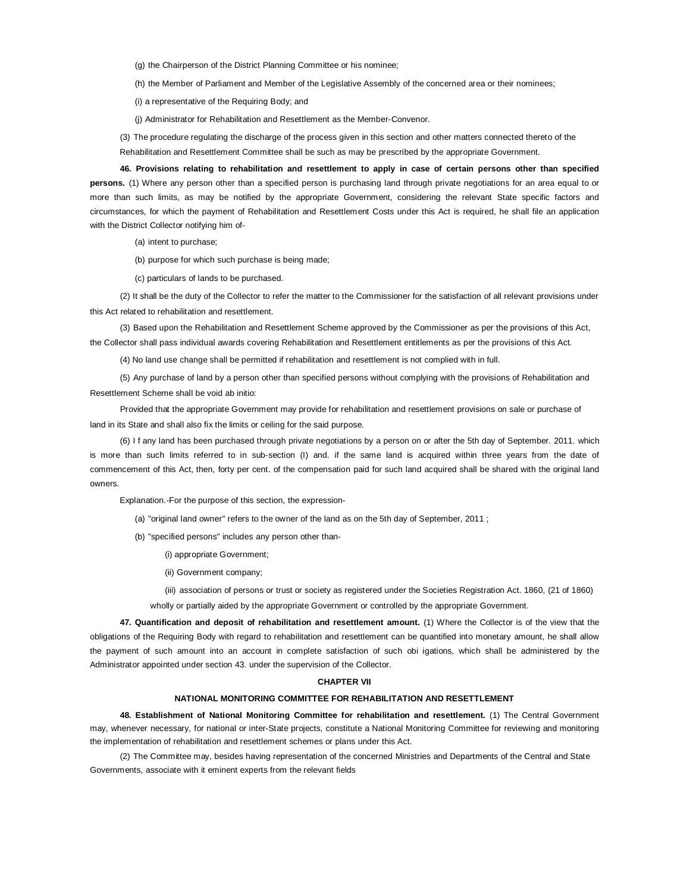(g) the Chairperson of the District Planning Committee or his nominee;

(h) the Member of Parliament and Member of the Legislative Assembly of the concerned area or their nominees;

(i) a representative of the Requiring Body; and

(j) Administrator for Rehabilitation and Resettlement as the Member-Convenor.

(3) The procedure regulating the discharge of the process given in this section and other matters connected thereto of the Rehabilitation and Resettlement Committee shall be such as may be prescribed by the appropriate Government.

**46. Provisions relating to rehabilitation and resettlement to apply in case of certain persons other than specified persons.** (1) Where any person other than a specified person is purchasing land through private negotiations for an area equal to or more than such limits, as may be notified by the appropriate Government, considering the relevant State specific factors and circumstances, for which the payment of Rehabilitation and Resettlement Costs under this Act is required, he shall file an application with the District Collector notifying him of-

(a) intent to purchase;

(b) purpose for which such purchase is being made;

(c) particulars of lands to be purchased.

(2) It shall be the duty of the Collector to refer the matter to the Commissioner for the satisfaction of all relevant provisions under this Act related to rehabilitation and resettlement.

(3) Based upon the Rehabilitation and Resettlement Scheme approved by the Commissioner as per the provisions of this Act, the Collector shall pass individual awards covering Rehabilitation and Resettlement entitlements as per the provisions of this Act.

(4) No land use change shall be permitted if rehabilitation and resettlement is not complied with in full.

(5) Any purchase of land by a person other than specified persons without complying with the provisions of Rehabilitation and Resettlement Scheme shall be void ab initio:

Provided that the appropriate Government may provide for rehabilitation and resettlement provisions on sale or purchase of land in its State and shall also fix the limits or ceiling for the said purpose.

(6) I f any land has been purchased through private negotiations by a person on or after the 5th day of September. 2011. which is more than such limits referred to in sub-section (I) and. if the same land is acquired within three years from the date of commencement of this Act, then, forty per cent. of the compensation paid for such land acquired shall be shared with the original land owners.

Explanation.-For the purpose of this section, the expression-

(a) "original land owner" refers to the owner of the land as on the 5th day of September, 2011 ;

(b) "specified persons" includes any person other than-

(i) appropriate Government;

(ii) Government company;

(iii) association of persons or trust or society as registered under the Societies Registration Act. 1860, (21 of 1860) wholly or partially aided by the appropriate Government or controlled by the appropriate Government.

**47. Quantification and deposit of rehabilitation and resettlement amount.** (1) Where the Collector is of the view that the obligations of the Requiring Body with regard to rehabilitation and resettlement can be quantified into monetary amount, he shall allow the payment of such amount into an account in complete satisfaction of such obi igations, which shall be administered by the Administrator appointed under section 43. under the supervision of the Collector.

#### **CHAPTER VII**

#### **NATIONAL MONITORING COMMITTEE FOR REHABILITATION AND RESETTLEMENT**

**48. Establishment of National Monitoring Committee for rehabilitation and resettlement.** (1) The Central Government may, whenever necessary, for national or inter-State projects, constitute a National Monitoring Committee for reviewing and monitoring the implementation of rehabilitation and resettlement schemes or plans under this Act.

(2) The Committee may, besides having representation of the concerned Ministries and Departments of the Central and State Governments, associate with it eminent experts from the relevant fields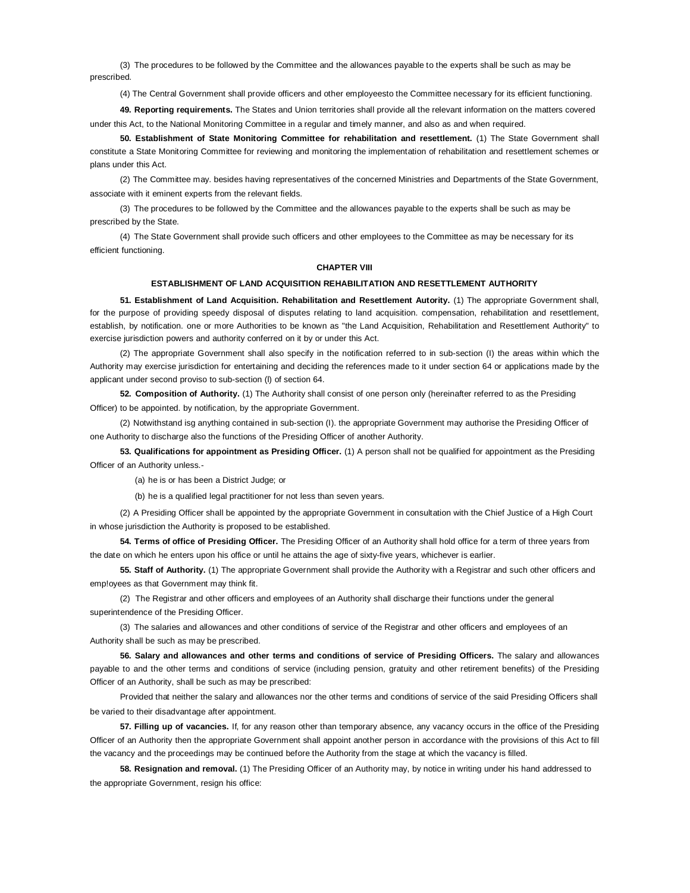(3) The procedures to be followed by the Committee and the allowances payable to the experts shall be such as may be prescribed.

(4) The Central Government shall provide officers and other employeesto the Committee necessary for its efficient functioning.

**49. Reporting requirements.** The States and Union territories shall provide all the relevant information on the matters covered under this Act, to the National Monitoring Committee in a regular and timely manner, and also as and when required.

**50. Establishment of State Monitoring Committee for rehabilitation and resettlement.** (1) The State Government shall constitute a State Monitoring Committee for reviewing and monitoring the implementation of rehabilitation and resettlement schemes or plans under this Act.

(2) The Committee may. besides having representatives of the concerned Ministries and Departments of the State Government, associate with it eminent experts from the relevant fields.

(3) The procedures to be followed by the Committee and the allowances payable to the experts shall be such as may be prescribed by the State.

(4) The State Government shall provide such officers and other employees to the Committee as may be necessary for its efficient functioning.

## **CHAPTER VIII**

## **ESTABLISHMENT OF LAND ACQUISITION REHABILITATION AND RESETTLEMENT AUTHORITY**

**51. Establishment of Land Acquisition. Rehabilitation and Resettlement Autority.** (1) The appropriate Government shall, for the purpose of providing speedy disposal of disputes relating to land acquisition. compensation, rehabilitation and resettlement, establish, by notification. one or more Authorities to be known as "the Land Acquisition, Rehabilitation and Resettlement Authority" to exercise jurisdiction powers and authority conferred on it by or under this Act.

(2) The appropriate Government shall also specify in the notification referred to in sub-section (I) the areas within which the Authority may exercise jurisdiction for entertaining and deciding the references made to it under section 64 or applications made by the applicant under second proviso to sub-section (l) of section 64.

**52. Composition of Authority.** (1) The Authority shall consist of one person only (hereinafter referred to as the Presiding Officer) to be appointed. by notification, by the appropriate Government.

(2) Notwithstand isg anything contained in sub-section (I). the appropriate Government may authorise the Presiding Officer of one Authority to discharge also the functions of the Presiding Officer of another Authority.

**53. Qualifications for appointment as Presiding Officer.** (1) A person shall not be qualified for appointment as the Presiding Officer of an Authority unless.-

(a) he is or has been a District Judge; or

(b) he is a qualified legal practitioner for not less than seven years.

(2) A Presiding Officer shall be appointed by the appropriate Government in consultation with the Chief Justice of a High Court in whose jurisdiction the Authority is proposed to be established.

**54. Terms of office of Presiding Officer.** The Presiding Officer of an Authority shall hold office for a term of three years from the date on which he enters upon his office or until he attains the age of sixty-five years, whichever is earlier.

**55. Staff of Authority.** (1) The appropriate Government shall provide the Authority with a Registrar and such other officers and emp!oyees as that Government may think fit.

(2) The Registrar and other officers and employees of an Authority shall discharge their functions under the general superintendence of the Presiding Officer.

(3) The salaries and allowances and other conditions of service of the Registrar and other officers and employees of an Authority shall be such as may be prescribed.

**56. Salary and allowances and other terms and conditions of service of Presiding Officers.** The salary and allowances payable to and the other terms and conditions of service (including pension, gratuity and other retirement benefits) of the Presiding Officer of an Authority, shall be such as may be prescribed:

Provided that neither the salary and allowances nor the other terms and conditions of service of the said Presiding Officers shall be varied to their disadvantage after appointment.

**57. Filling up of vacancies.** If, for any reason other than temporary absence, any vacancy occurs in the office of the Presiding Officer of an Authority then the appropriate Government shall appoint another person in accordance with the provisions of this Act to fill the vacancy and the proceedings may be continued before the Authority from the stage at which the vacancy is filled.

**58. Resignation and removal.** (1) The Presiding Officer of an Authority may, by notice in writing under his hand addressed to the appropriate Government, resign his office: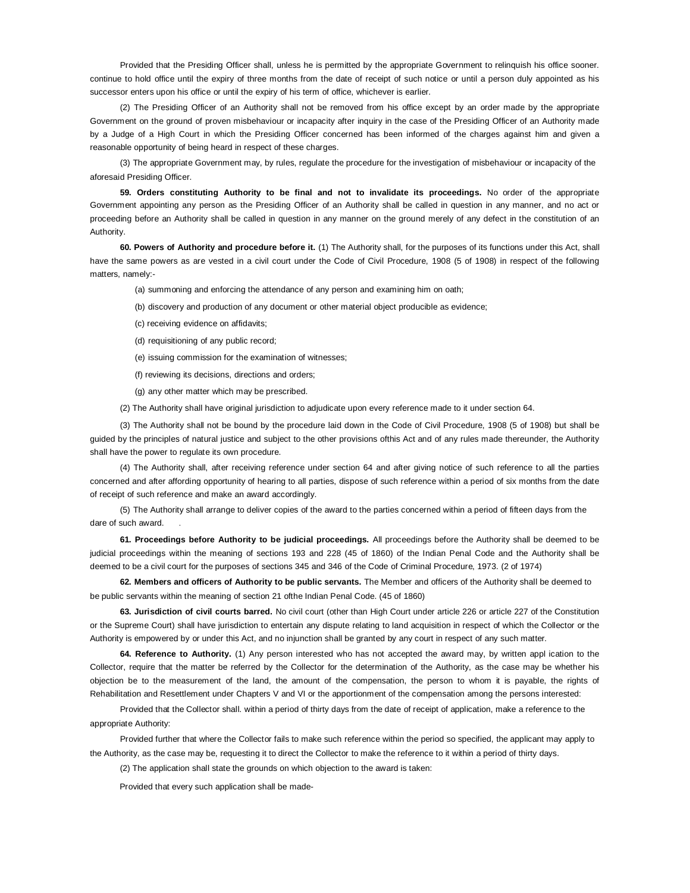Provided that the Presiding Officer shall, unless he is permitted by the appropriate Government to relinquish his office sooner. continue to hold office until the expiry of three months from the date of receipt of such notice or until a person duly appointed as his successor enters upon his office or until the expiry of his term of office, whichever is earlier.

(2) The Presiding Officer of an Authority shall not be removed from his office except by an order made by the appropriate Government on the ground of proven misbehaviour or incapacity after inquiry in the case of the Presiding Officer of an Authority made by a Judge of a High Court in which the Presiding Officer concerned has been informed of the charges against him and given a reasonable opportunity of being heard in respect of these charges.

(3) The appropriate Government may, by rules, regulate the procedure for the investigation of misbehaviour or incapacity of the aforesaid Presiding Officer.

**59. Orders constituting Authority to be final and not to invalidate its proceedings.** No order of the appropriate Government appointing any person as the Presiding Officer of an Authority shall be called in question in any manner, and no act or proceeding before an Authority shall be called in question in any manner on the ground merely of any defect in the constitution of an Authority.

**60. Powers of Authority and procedure before it.** (1) The Authority shall, for the purposes of its functions under this Act, shall have the same powers as are vested in a civil court under the Code of Civil Procedure, 1908 (5 of 1908) in respect of the following matters, namely:-

(a) summoning and enforcing the attendance of any person and examining him on oath;

- (b) discovery and production of any document or other material object producible as evidence;
- (c) receiving evidence on affidavits;
- (d) requisitioning of any public record;
- (e) issuing commission for the examination of witnesses;
- (f) reviewing its decisions, directions and orders;
- (g) any other matter which may be prescribed.

(2) The Authority shall have original jurisdiction to adjudicate upon every reference made to it under section 64.

(3) The Authority shall not be bound by the procedure laid down in the Code of Civil Procedure, 1908 (5 of 1908) but shall be guided by the principles of natural justice and subject to the other provisions ofthis Act and of any rules made thereunder, the Authority shall have the power to regulate its own procedure.

(4) The Authority shall, after receiving reference under section 64 and after giving notice of such reference to all the parties concerned and after affording opportunity of hearing to all parties, dispose of such reference within a period of six months from the date of receipt of such reference and make an award accordingly.

(5) The Authority shall arrange to deliver copies of the award to the parties concerned within a period of fifteen days from the dare of such award.

**61. Proceedings before Authority to be judicial proceedings.** All proceedings before the Authority shall be deemed to be judicial proceedings within the meaning of sections 193 and 228 (45 of 1860) of the Indian Penal Code and the Authority shall be deemed to be a civil court for the purposes of sections 345 and 346 of the Code of Criminal Procedure, 1973. (2 of 1974)

**62. Members and officers of Authority to be public servants.** The Member and officers of the Authority shall be deemed to be public servants within the meaning of section 21 ofthe Indian Penal Code. (45 of 1860)

**63. Jurisdiction of civil courts barred.** No civil court (other than High Court under article 226 or article 227 of the Constitution or the Supreme Court) shall have jurisdiction to entertain any dispute relating to land acquisition in respect of which the Collector or the Authority is empowered by or under this Act, and no injunction shall be granted by any court in respect of any such matter.

**64. Reference to Authority.** (1) Any person interested who has not accepted the award may, by written appl ication to the Collector, require that the matter be referred by the Collector for the determination of the Authority, as the case may be whether his objection be to the measurement of the land, the amount of the compensation, the person to whom it is payable, the rights of Rehabilitation and Resettlement under Chapters V and VI or the apportionment of the compensation among the persons interested:

Provided that the Collector shall. within a period of thirty days from the date of receipt of application, make a reference to the appropriate Authority:

Provided further that where the Collector fails to make such reference within the period so specified, the applicant may apply to the Authority, as the case may be, requesting it to direct the Collector to make the reference to it within a period of thirty days.

(2) The application shall state the grounds on which objection to the award is taken:

Provided that every such application shall be made-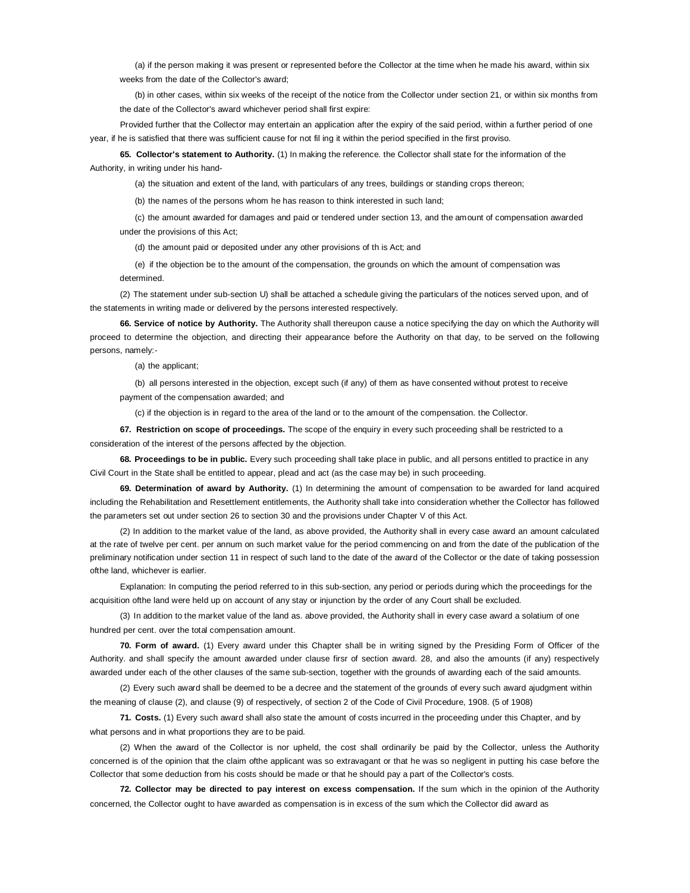(a) if the person making it was present or represented before the Collector at the time when he made his award, within six weeks from the date of the Collector's award;

(b) in other cases, within six weeks of the receipt of the notice from the Collector under section 21, or within six months from the date of the Collector's award whichever period shall first expire:

Provided further that the Collector may entertain an application after the expiry of the said period, within a further period of one year, if he is satisfied that there was sufficient cause for not fil ing it within the period specified in the first proviso.

**65. Collector's statement to Authority.** (1) In making the reference. the Collector shall state for the information of the Authority, in writing under his hand-

(a) the situation and extent of the land, with particulars of any trees, buildings or standing crops thereon;

(b) the names of the persons whom he has reason to think interested in such land;

(c) the amount awarded for damages and paid or tendered under section 13, and the amount of compensation awarded under the provisions of this Act;

(d) the amount paid or deposited under any other provisions of th is Act; and

(e) if the objection be to the amount of the compensation, the grounds on which the amount of compensation was determined.

(2) The statement under sub-section U) shall be attached a schedule giving the particulars of the notices served upon, and of the statements in writing made or delivered by the persons interested respectively.

**66. Service of notice by Authority.** The Authority shall thereupon cause a notice specifying the day on which the Authority will proceed to determine the objection, and directing their appearance before the Authority on that day, to be served on the following persons, namely:-

(a) the applicant;

(b) all persons interested in the objection, except such (if any) of them as have consented without protest to receive payment of the compensation awarded; and

(c) if the objection is in regard to the area of the land or to the amount of the compensation. the Collector.

**67. Restriction on scope of proceedings.** The scope of the enquiry in every such proceeding shall be restricted to a consideration of the interest of the persons affected by the objection.

**68. Proceedings to be in public.** Every such proceeding shall take place in public, and all persons entitled to practice in any Civil Court in the State shall be entitled to appear, plead and act (as the case may be) in such proceeding.

**69. Determination of award by Authority.** (1) In determining the amount of compensation to be awarded for land acquired including the Rehabilitation and Resettlement entitlements, the Authority shall take into consideration whether the Collector has followed the parameters set out under section 26 to section 30 and the provisions under Chapter V of this Act.

(2) In addition to the market value of the land, as above provided, the Authority shall in every case award an amount calculated at the rate of twelve per cent. per annum on such market value for the period commencing on and from the date of the publication of the preliminary notification under section 11 in respect of such land to the date of the award of the Collector or the date of taking possession ofthe land, whichever is earlier.

Explanation: In computing the period referred to in this sub-section, any period or periods during which the proceedings for the acquisition ofthe land were held up on account of any stay or injunction by the order of any Court shall be excluded.

(3) In addition to the market value of the land as. above provided, the Authority shall in every case award a solatium of one hundred per cent. over the total compensation amount.

**70. Form of award.** (1) Every award under this Chapter shall be in writing signed by the Presiding Form of Officer of the Authority. and shall specify the amount awarded under clause firsr of section award. 28, and also the amounts (if any) respectively awarded under each of the other clauses of the same sub-section, together with the grounds of awarding each of the said amounts.

(2) Every such award shall be deemed to be a decree and the statement of the grounds of every such award ajudgment within the meaning of clause (2), and clause (9) of respectively, of section 2 of the Code of Civil Procedure, 1908. (5 of 1908)

**71. Costs.** (1) Every such award shall also state the amount of costs incurred in the proceeding under this Chapter, and by what persons and in what proportions they are to be paid.

(2) When the award of the Collector is nor upheld, the cost shall ordinarily be paid by the Collector, unless the Authority concerned is of the opinion that the claim ofthe applicant was so extravagant or that he was so negligent in putting his case before the Collector that some deduction from his costs should be made or that he should pay a part of the Collector's costs.

**72. Collector may be directed to pay interest on excess compensation.** If the sum which in the opinion of the Authority concerned, the Collector ought to have awarded as compensation is in excess of the sum which the Collector did award as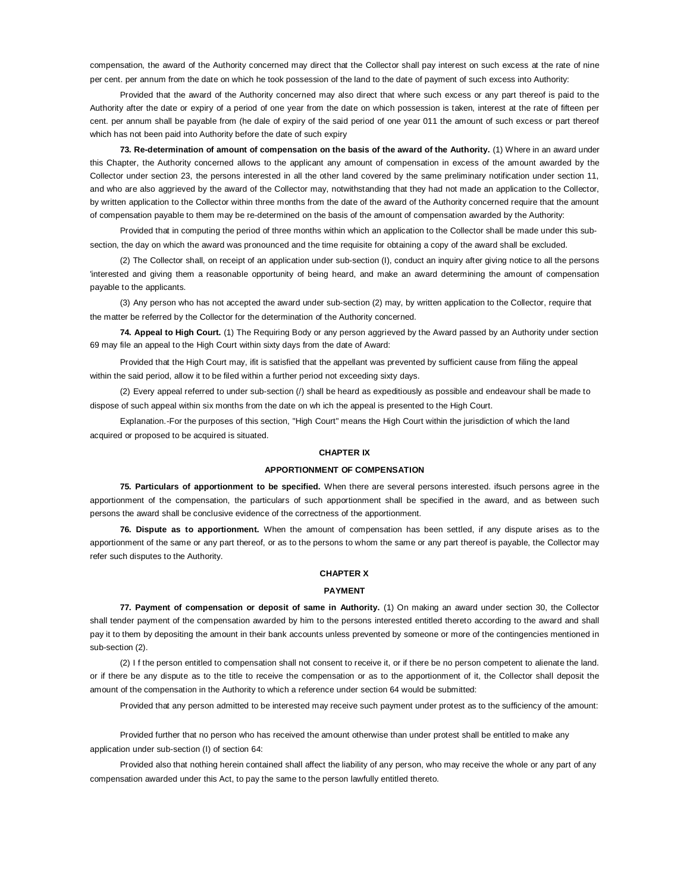compensation, the award of the Authority concerned may direct that the Collector shall pay interest on such excess at the rate of nine per cent. per annum from the date on which he took possession of the land to the date of payment of such excess into Authority:

Provided that the award of the Authority concerned may also direct that where such excess or any part thereof is paid to the Authority after the date or expiry of a period of one year from the date on which possession is taken, interest at the rate of fifteen per cent. per annum shall be payable from (he dale of expiry of the said period of one year 011 the amount of such excess or part thereof which has not been paid into Authority before the date of such expiry

**73. Re-determination of amount of compensation on the basis of the award of the Authority.** (1) Where in an award under this Chapter, the Authority concerned allows to the applicant any amount of compensation in excess of the amount awarded by the Collector under section 23, the persons interested in all the other land covered by the same preliminary notification under section 11, and who are also aggrieved by the award of the Collector may, notwithstanding that they had not made an application to the Collector, by written application to the Collector within three months from the date of the award of the Authority concerned require that the amount of compensation payable to them may be re-determined on the basis of the amount of compensation awarded by the Authority:

Provided that in computing the period of three months within which an application to the Collector shall be made under this subsection, the day on which the award was pronounced and the time requisite for obtaining a copy of the award shall be excluded.

(2) The Collector shall, on receipt of an application under sub-section (I), conduct an inquiry after giving notice to all the persons 'interested and giving them a reasonable opportunity of being heard, and make an award determining the amount of compensation payable to the applicants.

(3) Any person who has not accepted the award under sub-section (2) may, by written application to the Collector, require that the matter be referred by the Collector for the determination of the Authority concerned.

**74. Appeal to High Court.** (1) The Requiring Body or any person aggrieved by the Award passed by an Authority under section 69 may file an appeal to the High Court within sixty days from the date of Award:

Provided that the High Court may, ifit is satisfied that the appellant was prevented by sufficient cause from filing the appeal within the said period, allow it to be filed within a further period not exceeding sixty days.

(2) Every appeal referred to under sub-section (/) shall be heard as expeditiously as possible and endeavour shall be made to dispose of such appeal within six months from the date on wh ich the appeal is presented to the High Court.

Explanation.-For the purposes of this section, "High Court" means the High Court within the jurisdiction of which the land acquired or proposed to be acquired is situated.

## **CHAPTER IX**

### **APPORTIONMENT OF COMPENSATION**

**75. Particulars of apportionment to be specified.** When there are several persons interested. ifsuch persons agree in the apportionment of the compensation, the particulars of such apportionment shall be specified in the award, and as between such persons the award shall be conclusive evidence of the correctness of the apportionment.

**76. Dispute as to apportionment.** When the amount of compensation has been settled, if any dispute arises as to the apportionment of the same or any part thereof, or as to the persons to whom the same or any part thereof is payable, the Collector may refer such disputes to the Authority.

## **CHAPTER X**

#### **PAYMENT**

**77. Payment of compensation or deposit of same in Authority.** (1) On making an award under section 30, the Collector shall tender payment of the compensation awarded by him to the persons interested entitled thereto according to the award and shall pay it to them by depositing the amount in their bank accounts unless prevented by someone or more of the contingencies mentioned in sub-section (2).

(2) I f the person entitled to compensation shall not consent to receive it, or if there be no person competent to alienate the land. or if there be any dispute as to the title to receive the compensation or as to the apportionment of it, the Collector shall deposit the amount of the compensation in the Authority to which a reference under section 64 would be submitted:

Provided that any person admitted to be interested may receive such payment under protest as to the sufficiency of the amount:

Provided further that no person who has received the amount otherwise than under protest shall be entitled to make any application under sub-section (I) of section 64:

Provided also that nothing herein contained shall affect the liability of any person, who may receive the whole or any part of any compensation awarded under this Act, to pay the same to the person lawfully entitled thereto.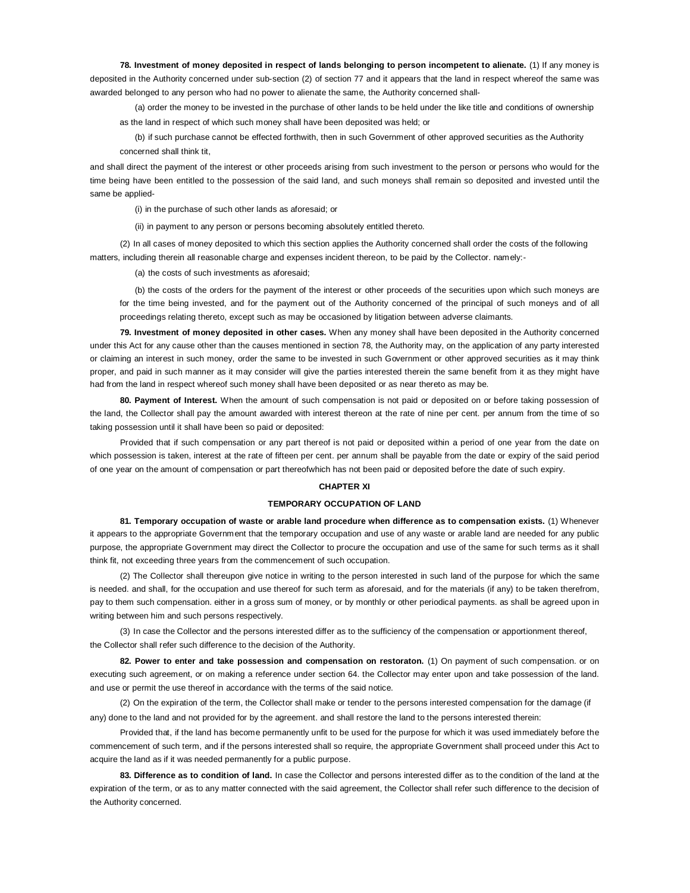**78. Investment of money deposited in respect of lands belonging to person incompetent to alienate.** (1) If any money is deposited in the Authority concerned under sub-section (2) of section 77 and it appears that the land in respect whereof the same was awarded belonged to any person who had no power to alienate the same, the Authority concerned shall-

(a) order the money to be invested in the purchase of other lands to be held under the like title and conditions of ownership as the land in respect of which such money shall have been deposited was held; or

(b) if such purchase cannot be effected forthwith, then in such Government of other approved securities as the Authority concerned shall think tit,

and shall direct the payment of the interest or other proceeds arising from such investment to the person or persons who would for the time being have been entitled to the possession of the said land, and such moneys shall remain so deposited and invested until the same be applied-

(i) in the purchase of such other lands as aforesaid; or

(ii) in payment to any person or persons becoming absolutely entitled thereto.

(2) In all cases of money deposited to which this section applies the Authority concerned shall order the costs of the following matters, including therein all reasonable charge and expenses incident thereon, to be paid by the Collector. namely:-

(a) the costs of such investments as aforesaid;

(b) the costs of the orders for the payment of the interest or other proceeds of the securities upon which such moneys are for the time being invested, and for the payment out of the Authority concerned of the principal of such moneys and of all proceedings relating thereto, except such as may be occasioned by litigation between adverse claimants.

**79. Investment of money deposited in other cases.** When any money shall have been deposited in the Authority concerned under this Act for any cause other than the causes mentioned in section 78, the Authority may, on the application of any party interested or claiming an interest in such money, order the same to be invested in such Government or other approved securities as it may think proper, and paid in such manner as it may consider will give the parties interested therein the same benefit from it as they might have had from the land in respect whereof such money shall have been deposited or as near thereto as may be.

**80. Payment of Interest.** When the amount of such compensation is not paid or deposited on or before taking possession of the land, the Collector shall pay the amount awarded with interest thereon at the rate of nine per cent. per annum from the time of so taking possession until it shall have been so paid or deposited:

Provided that if such compensation or any part thereof is not paid or deposited within a period of one year from the date on which possession is taken, interest at the rate of fifteen per cent. per annum shall be payable from the date or expiry of the said period of one year on the amount of compensation or part thereofwhich has not been paid or deposited before the date of such expiry.

## **CHAPTER XI**

## **TEMPORARY OCCUPATION OF LAND**

**81. Temporary occupation of waste or arable land procedure when difference as to compensation exists.** (1) Whenever it appears to the appropriate Government that the temporary occupation and use of any waste or arable land are needed for any public purpose, the appropriate Government may direct the Collector to procure the occupation and use of the same for such terms as it shall think fit, not exceeding three years from the commencement of such occupation.

(2) The Collector shall thereupon give notice in writing to the person interested in such land of the purpose for which the same is needed. and shall, for the occupation and use thereof for such term as aforesaid, and for the materials (if any) to be taken therefrom, pay to them such compensation. either in a gross sum of money, or by monthly or other periodical payments. as shall be agreed upon in writing between him and such persons respectively.

(3) In case the Collector and the persons interested differ as to the sufficiency of the compensation or apportionment thereof, the Collector shall refer such difference to the decision of the Authority.

**82. Power to enter and take possession and compensation on restoraton.** (1) On payment of such compensation. or on executing such agreement, or on making a reference under section 64. the Collector may enter upon and take possession of the land. and use or permit the use thereof in accordance with the terms of the said notice.

(2) On the expiration of the term, the Collector shall make or tender to the persons interested compensation for the damage (if any) done to the land and not provided for by the agreement. and shall restore the land to the persons interested therein:

Provided that, if the land has become permanently unfit to be used for the purpose for which it was used immediately before the commencement of such term, and if the persons interested shall so require, the appropriate Government shall proceed under this Act to acquire the land as if it was needed permanently for a public purpose.

**83. Difference as to condition of land.** In case the Collector and persons interested differ as to the condition of the land at the expiration of the term, or as to any matter connected with the said agreement, the Collector shall refer such difference to the decision of the Authority concerned.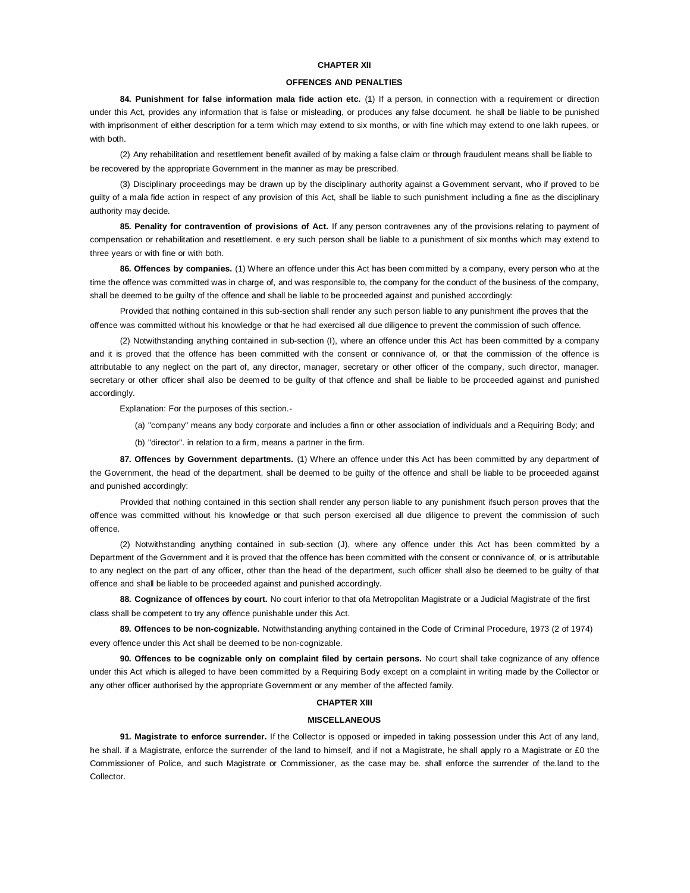## **CHAPTER XlI**

### **OFFENCES AND PENALTIES**

**84. Punishment for false information mala fide action etc.** (1) If a person, in connection with a requirement or direction under this Act, provides any information that is false or misleading, or produces any false document. he shall be liable to be punished with imprisonment of either description for a term which may extend to six months, or with fine which may extend to one lakh rupees, or with both.

(2) Any rehabilitation and resettlement benefit availed of by making a false claim or through fraudulent means shall be liable to be recovered by the appropriate Government in the manner as may be prescribed.

(3) Disciplinary proceedings may be drawn up by the disciplinary authority against a Government servant, who if proved to be guilty of a mala fide action in respect of any provision of this Act, shall be liable to such punishment including a fine as the disciplinary authority may decide.

**85. Penality for contravention of provisions of Act.** If any person contravenes any of the provisions relating to payment of compensation or rehabilitation and resettlement. e ery such person shall be liable to a punishment of six months which may extend to three years or with fine or with both.

**86. Offences by companies.** (1) Where an offence under this Act has been committed by a company, every person who at the time the offence was committed was in charge of, and was responsible to, the company for the conduct of the business of the company, shall be deemed to be guilty of the offence and shall be liable to be proceeded against and punished accordingly:

Provided that nothing contained in this sub-section shall render any such person liable to any punishment ifhe proves that the offence was committed without his knowledge or that he had exercised all due diligence to prevent the commission of such offence.

(2) Notwithstanding anything contained in sub-section (I), where an offence under this Act has been committed by a company and it is proved that the offence has been committed with the consent or connivance of, or that the commission of the offence is attributable to any neglect on the part of, any director, manager, secretary or other officer of the company, such director, manager. secretary or other officer shall also be deemed to be guilty of that offence and shall be liable to be proceeded against and punished accordingly.

Explanation: For the purposes of this section.-

(a) "company" means any body corporate and includes a finn or other association of individuals and a Requiring Body; and

(b) "director". in relation to a firm, means a partner in the firm.

**87. Offences by Government departments.** (1) Where an offence under this Act has been committed by any department of the Government, the head of the department, shall be deemed to be guilty of the offence and shall be liable to be proceeded against and punished accordingly:

Provided that nothing contained in this section shall render any person liable to any punishment ifsuch person proves that the offence was committed without his knowledge or that such person exercised all due diligence to prevent the commission of such offence.

(2) Notwithstanding anything contained in sub-section (J), where any offence under this Act has been committed by a Department of the Government and it is proved that the offence has been committed with the consent or connivance of, or is attributable to any neglect on the part of any officer, other than the head of the department, such officer shall also be deemed to be guilty of that offence and shall be liable to be proceeded against and punished accordingly.

**88. Cognizance of offences by court.** No court inferior to that ofa Metropolitan Magistrate or a Judicial Magistrate of the first class shall be competent to try any offence punishable under this Act.

**89. Offences to be non-cognizable.** Notwithstanding anything contained in the Code of Criminal Procedure, 1973 (2 of 1974) every offence under this Act shall be deemed to be non-cognizable.

**90. Offences to be cognizable only on complaint filed by certain persons.** No court shall take cognizance of any offence under this Act which is alleged to have been committed by a Requiring Body except on a complaint in writing made by the Collector or any other officer authorised by the appropriate Government or any member of the affected family.

## **CHAPTER XIII**

### **MISCELLANEOUS**

**91. Magistrate to enforce surrender.** If the Collector is opposed or impeded in taking possession under this Act of any land, he shall. if a Magistrate, enforce the surrender of the land to himself, and if not a Magistrate, he shall apply ro a Magistrate or £0 the Commissioner of Police, and such Magistrate or Commissioner, as the case may be. shall enforce the surrender of the.land to the Collector.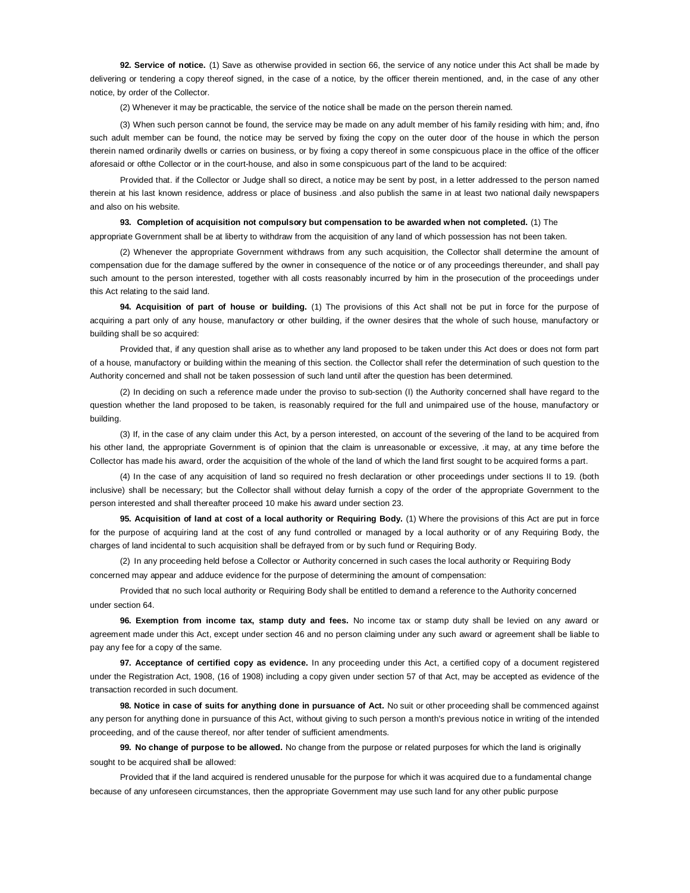**92. Service of notice.** (1) Save as otherwise provided in section 66, the service of any notice under this Act shall be made by delivering or tendering a copy thereof signed, in the case of a notice, by the officer therein mentioned, and, in the case of any other notice, by order of the Collector.

(2) Whenever it may be practicable, the service of the notice shall be made on the person therein named.

(3) When such person cannot be found, the service may be made on any adult member of his family residing with him; and, ifno such adult member can be found, the notice may be served by fixing the copy on the outer door of the house in which the person therein named ordinarily dwells or carries on business, or by fixing a copy thereof in some conspicuous place in the office of the officer aforesaid or ofthe Collector or in the court-house, and also in some conspicuous part of the land to be acquired:

Provided that. if the Collector or Judge shall so direct, a notice may be sent by post, in a letter addressed to the person named therein at his last known residence, address or place of business .and also publish the same in at least two national daily newspapers and also on his website.

## **93. Completion of acquisition not compulsory but compensation to be awarded when not completed.** (1) The

appropriate Government shall be at liberty to withdraw from the acquisition of any land of which possession has not been taken.

(2) Whenever the appropriate Government withdraws from any such acquisition, the Collector shall determine the amount of compensation due for the damage suffered by the owner in consequence of the notice or of any proceedings thereunder, and shall pay such amount to the person interested, together with all costs reasonably incurred by him in the prosecution of the proceedings under this Act relating to the said land.

**94. Acquisition of part of house or building.** (1) The provisions of this Act shall not be put in force for the purpose of acquiring a part only of any house, manufactory or other building, if the owner desires that the whole of such house, manufactory or building shall be so acquired:

Provided that, if any question shall arise as to whether any land proposed to be taken under this Act does or does not form part of a house, manufactory or building within the meaning of this section. the Collector shall refer the determination of such question to the Authority concerned and shall not be taken possession of such land until after the question has been determined.

(2) In deciding on such a reference made under the proviso to sub-section (I) the Authority concerned shall have regard to the question whether the land proposed to be taken, is reasonably required for the full and unimpaired use of the house, manufactory or building.

(3) If, in the case of any claim under this Act, by a person interested, on account of the severing of the land to be acquired from his other land, the appropriate Government is of opinion that the claim is unreasonable or excessive, .it may, at any time before the Collector has made his award, order the acquisition of the whole of the land of which the land first sought to be acquired forms a part.

(4) In the case of any acquisition of land so required no fresh declaration or other proceedings under sections II to 19. (both inclusive) shall be necessary; but the Collector shall without delay furnish a copy of the order of the appropriate Government to the person interested and shall thereafter proceed 10 make his award under section 23.

**95. Acquisition of land at cost of a local authority or Requiring Body.** (1) Where the provisions of this Act are put in force for the purpose of acquiring land at the cost of any fund controlled or managed by a local authority or of any Requiring Body, the charges of land incidental to such acquisition shall be defrayed from or by such fund or Requiring Body.

(2) In any proceeding held befose a Collector or Authority concerned in such cases the local authority or Requiring Body concerned may appear and adduce evidence for the purpose of determining the amount of compensation:

Provided that no such local authority or Requiring Body shall be entitled to demand a reference to the Authority concerned under section 64.

**96. Exemption from income tax, stamp duty and fees.** No income tax or stamp duty shall be levied on any award or agreement made under this Act, except under section 46 and no person claiming under any such award or agreement shall be liable to pay any fee for a copy of the same.

**97. Acceptance of certified copy as evidence.** In any proceeding under this Act, a certified copy of a document registered under the Registration Act, 1908, (16 of 1908) including a copy given under section 57 of that Act, may be accepted as evidence of the transaction recorded in such document.

**98. Notice in case of suits for anything done in pursuance of Act.** No suit or other proceeding shall be commenced against any person for anything done in pursuance of this Act, without giving to such person a month's previous notice in writing of the intended proceeding, and of the cause thereof, nor after tender of sufficient amendments.

**99. No change of purpose to be allowed.** No change from the purpose or related purposes for which the land is originally sought to be acquired shall be allowed:

Provided that if the land acquired is rendered unusable for the purpose for which it was acquired due to a fundamental change because of any unforeseen circumstances, then the appropriate Government may use such land for any other public purpose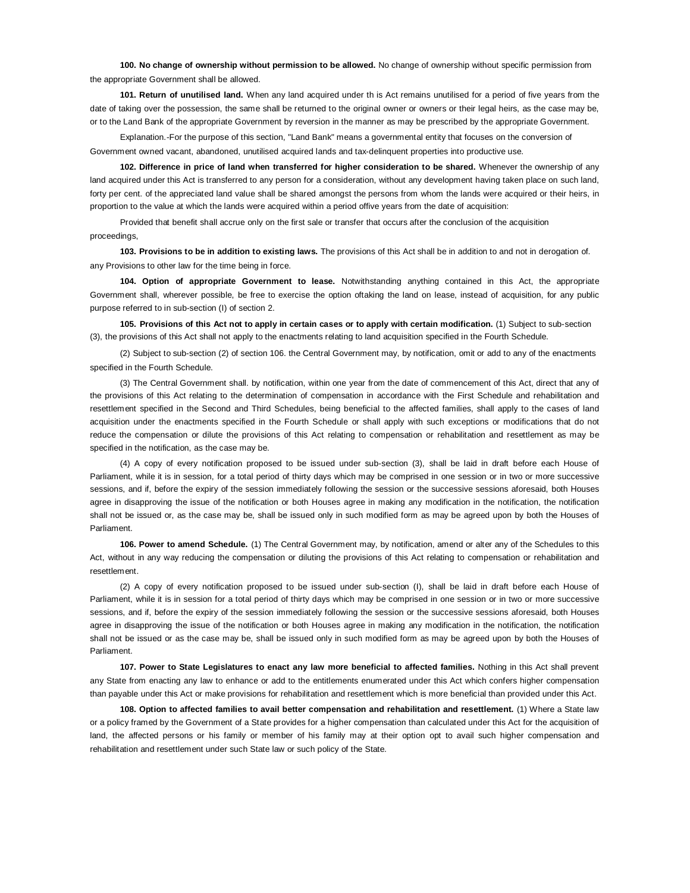**100. No change of ownership without permission to be allowed.** No change of ownership without specific permission from the appropriate Government shall be allowed.

**101. Return of unutilised land.** When any land acquired under th is Act remains unutilised for a period of five years from the date of taking over the possession, the same shall be returned to the original owner or owners or their legal heirs, as the case may be, or to the Land Bank of the appropriate Government by reversion in the manner as may be prescribed by the appropriate Government.

Explanation.-For the purpose of this section, "Land Bank" means a governmental entity that focuses on the conversion of Government owned vacant, abandoned, unutilised acquired lands and tax-delinquent properties into productive use.

**102. Difference in price of land when transferred for higher consideration to be shared.** Whenever the ownership of any land acquired under this Act is transferred to any person for a consideration, without any development having taken place on such land, forty per cent. of the appreciated land value shall be shared amongst the persons from whom the lands were acquired or their heirs, in proportion to the value at which the lands were acquired within a period offive years from the date of acquisition:

Provided that benefit shall accrue only on the first sale or transfer that occurs after the conclusion of the acquisition proceedings,

**103. Provisions to be in addition to existing laws.** The provisions of this Act shall be in addition to and not in derogation of. any Provisions to other law for the time being in force.

**104. Option of appropriate Government to lease.** Notwithstanding anything contained in this Act, the appropriate Government shall, wherever possible, be free to exercise the option oftaking the land on lease, instead of acquisition, for any public purpose referred to in sub-section (I) of section 2.

**105. Provisions of this Act not to apply in certain cases or to apply with certain modification.** (1) Subject to sub-section (3), the provisions of this Act shall not apply to the enactments relating to land acquisition specified in the Fourth Schedule.

(2) Subject to sub-section (2) of section 106. the Central Government may, by notification, omit or add to any of the enactments specified in the Fourth Schedule.

(3) The Central Government shall. by notification, within one year from the date of commencement of this Act, direct that any of the provisions of this Act relating to the determination of compensation in accordance with the First Schedule and rehabilitation and resettlement specified in the Second and Third Schedules, being beneficial to the affected families, shall apply to the cases of land acquisition under the enactments specified in the Fourth Schedule or shall apply with such exceptions or modifications that do not reduce the compensation or dilute the provisions of this Act relating to compensation or rehabilitation and resettlement as may be specified in the notification, as the case may be.

(4) A copy of every notification proposed to be issued under sub-section (3), shall be laid in draft before each House of Parliament, while it is in session, for a total period of thirty days which may be comprised in one session or in two or more successive sessions, and if, before the expiry of the session immediately following the session or the successive sessions aforesaid, both Houses agree in disapproving the issue of the notification or both Houses agree in making any modification in the notification, the notification shall not be issued or, as the case may be, shall be issued only in such modified form as may be agreed upon by both the Houses of Parliament.

**106. Power to amend Schedule.** (1) The Central Government may, by notification, amend or alter any of the Schedules to this Act, without in any way reducing the compensation or diluting the provisions of this Act relating to compensation or rehabilitation and resettlement.

(2) A copy of every notification proposed to be issued under sub-section (I), shall be laid in draft before each House of Parliament, while it is in session for a total period of thirty days which may be comprised in one session or in two or more successive sessions, and if, before the expiry of the session immediately following the session or the successive sessions aforesaid, both Houses agree in disapproving the issue of the notification or both Houses agree in making any modification in the notification, the notification shall not be issued or as the case may be, shall be issued only in such modified form as may be agreed upon by both the Houses of Parliament.

**107. Power to State Legislatures to enact any law more beneficial to affected families.** Nothing in this Act shall prevent any State from enacting any law to enhance or add to the entitlements enumerated under this Act which confers higher compensation than payable under this Act or make provisions for rehabilitation and resettlement which is more beneficial than provided under this Act.

**108. Option to affected families to avail better compensation and rehabilitation and resettlement.** (1) Where a State law or a policy framed by the Government of a State provides for a higher compensation than calculated under this Act for the acquisition of land, the affected persons or his family or member of his family may at their option opt to avail such higher compensation and rehabilitation and resettlement under such State law or such policy of the State.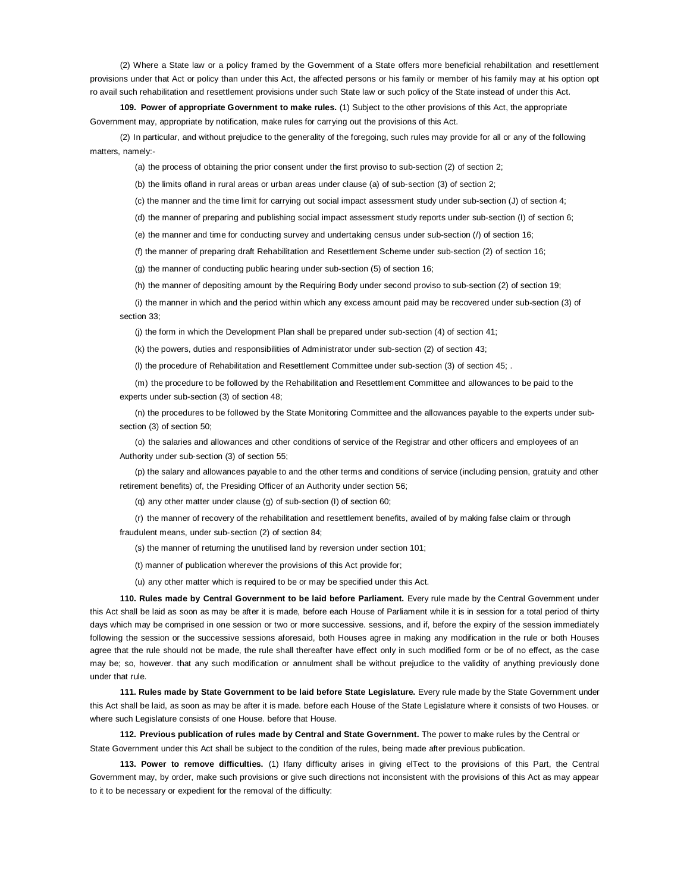(2) Where a State law or a policy framed by the Government of a State offers more beneficial rehabilitation and resettlement provisions under that Act or policy than under this Act, the affected persons or his family or member of his family may at his option opt ro avail such rehabilitation and resettlement provisions under such State law or such policy of the State instead of under this Act.

**109. Power of appropriate Government to make rules.** (1) Subject to the other provisions of this Act, the appropriate Government may, appropriate by notification, make rules for carrying out the provisions of this Act.

(2) In particular, and without prejudice to the generality of the foregoing, such rules may provide for all or any of the following matters, namely:-

(a) the process of obtaining the prior consent under the first proviso to sub-section (2) of section 2;

(b) the limits ofland in rural areas or urban areas under clause (a) of sub-section (3) of section 2;

(c) the manner and the time limit for carrying out social impact assessment study under sub-section (J) of section 4;

(d) the manner of preparing and publishing social impact assessment study reports under sub-section (I) of section 6;

(e) the manner and time for conducting survey and undertaking census under sub-section (/) of section 16;

(f) the manner of preparing draft Rehabilitation and Resettlement Scheme under sub-section (2) of section 16;

(g) the manner of conducting public hearing under sub-section (5) of section 16;

(h) the manner of depositing amount by the Requiring Body under second proviso to sub-section (2) of section 19;

(i) the manner in which and the period within which any excess amount paid may be recovered under sub-section (3) of section 33;

(j) the form in which the Development Plan shall be prepared under sub-section (4) of section 41;

(k) the powers, duties and responsibilities of Administrator under sub-section (2) of section 43;

(l) the procedure of Rehabilitation and Resettlement Committee under sub-section (3) of section 45; .

(m) the procedure to be followed by the Rehabilitation and Resettlement Committee and allowances to be paid to the experts under sub-section (3) of section 48;

(n) the procedures to be followed by the State Monitoring Committee and the allowances payable to the experts under subsection (3) of section 50;

(o) the salaries and allowances and other conditions of service of the Registrar and other officers and employees of an Authority under sub-section (3) of section 55;

(p) the salary and allowances payable to and the other terms and conditions of service (including pension, gratuity and other retirement benefits) of, the Presiding Officer of an Authority under section 56;

(q) any other matter under clause (g) of sub-section (I) of section 60;

(r) the manner of recovery of the rehabilitation and resettlement benefits, availed of by making false claim or through fraudulent means, under sub-section (2) of section 84;

(s) the manner of returning the unutilised land by reversion under section 101;

(t) manner of publication wherever the provisions of this Act provide for;

(u) any other matter which is required to be or may be specified under this Act.

**110. Rules made by Central Government to be laid before Parliament.** Every rule made by the Central Government under this Act shall be laid as soon as may be after it is made, before each House of Parliament while it is in session for a total period of thirty days which may be comprised in one session or two or more successive. sessions, and if, before the expiry of the session immediately following the session or the successive sessions aforesaid, both Houses agree in making any modification in the rule or both Houses agree that the rule should not be made, the rule shall thereafter have effect only in such modified form or be of no effect, as the case may be; so, however. that any such modification or annulment shall be without prejudice to the validity of anything previously done under that rule.

**111. Rules made by State Government to be laid before State Legislature.** Every rule made by the State Government under this Act shall be laid, as soon as may be after it is made. before each House of the State Legislature where it consists of two Houses. or where such Legislature consists of one House. before that House.

**112. Previous publication of rules made by Central and State Government.** The power to make rules by the Central or State Government under this Act shall be subject to the condition of the rules, being made after previous publication.

**113. Power to remove difficulties.** (1) Ifany difficulty arises in giving elTect to the provisions of this Part, the Central Government may, by order, make such provisions or give such directions not inconsistent with the provisions of this Act as may appear to it to be necessary or expedient for the removal of the difficulty: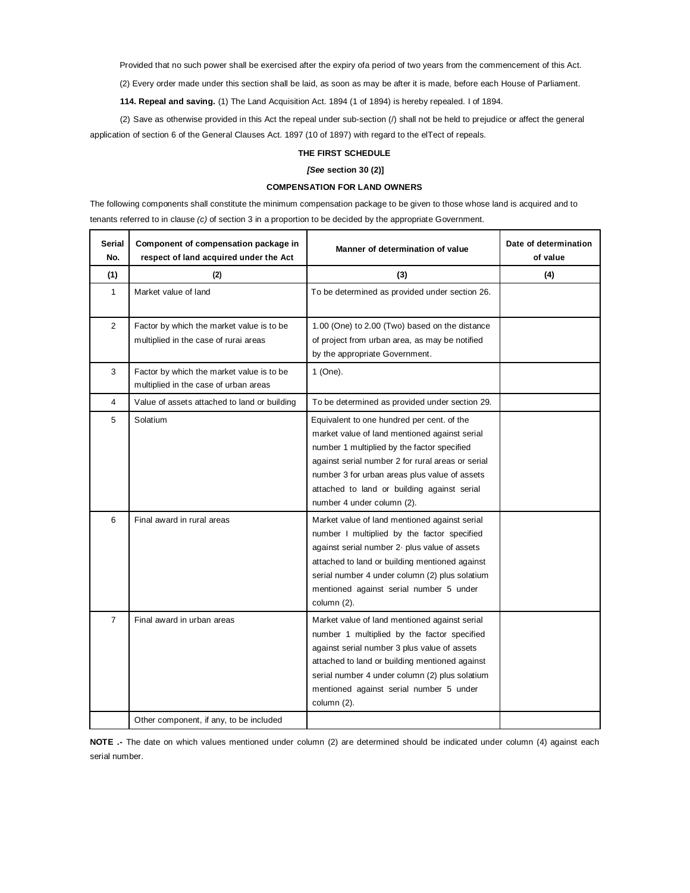Provided that no such power shall be exercised after the expiry ofa period of two years from the commencement of this Act.

(2) Every order made under this section shall be laid, as soon as may be after it is made, before each House of Parliament.

**114. Repeal and saving.** (1) The Land Acquisition Act. 1894 (1 of 1894) is hereby repealed. I of 1894.

(2) Save as otherwise provided in this Act the repeal under sub-section (/) shall not be held to prejudice or affect the general application of section 6 of the General Clauses Act. 1897 (10 of 1897) with regard to the elTect of repeals.

## **THE FIRST SCHEDULE**

## *[See* **section 30 (2)]**

## **COMPENSATION FOR LAND OWNERS**

The following components shall constitute the minimum compensation package to be given to those whose land is acquired and to tenants referred to in clause *(c)* of section 3 in a proportion to be decided by the appropriate Government.

| Serial<br>No.  | Component of compensation package in<br>respect of land acquired under the Act     | Manner of determination of value                                                                                                                                                                                                                                                                                              | Date of determination<br>of value |
|----------------|------------------------------------------------------------------------------------|-------------------------------------------------------------------------------------------------------------------------------------------------------------------------------------------------------------------------------------------------------------------------------------------------------------------------------|-----------------------------------|
| (1)            | (2)                                                                                | (3)                                                                                                                                                                                                                                                                                                                           | (4)                               |
| 1              | Market value of land                                                               | To be determined as provided under section 26.                                                                                                                                                                                                                                                                                |                                   |
| $\overline{2}$ | Factor by which the market value is to be<br>multiplied in the case of rurai areas | 1.00 (One) to 2.00 (Two) based on the distance<br>of project from urban area, as may be notified<br>by the appropriate Government.                                                                                                                                                                                            |                                   |
| 3              | Factor by which the market value is to be<br>multiplied in the case of urban areas | 1 (One).                                                                                                                                                                                                                                                                                                                      |                                   |
| $\overline{4}$ | Value of assets attached to land or building                                       | To be determined as provided under section 29.                                                                                                                                                                                                                                                                                |                                   |
| 5              | Solatium                                                                           | Equivalent to one hundred per cent. of the<br>market value of land mentioned against serial<br>number 1 multiplied by the factor specified<br>against serial number 2 for rural areas or serial<br>number 3 for urban areas plus value of assets<br>attached to land or building against serial<br>number 4 under column (2). |                                   |
| 6              | Final award in rural areas                                                         | Market value of land mentioned against serial<br>number I multiplied by the factor specified<br>against serial number 2- plus value of assets<br>attached to land or building mentioned against<br>serial number 4 under column (2) plus solatium<br>mentioned against serial number 5 under<br>column (2).                   |                                   |
| $\overline{7}$ | Final award in urban areas                                                         | Market value of land mentioned against serial<br>number 1 multiplied by the factor specified<br>against serial number 3 plus value of assets<br>attached to land or building mentioned against<br>serial number 4 under column (2) plus solatium<br>mentioned against serial number 5 under<br>column (2).                    |                                   |
|                | Other component, if any, to be included                                            |                                                                                                                                                                                                                                                                                                                               |                                   |

**NOTE .-** The date on which values mentioned under column (2) are determined should be indicated under column (4) against each serial number.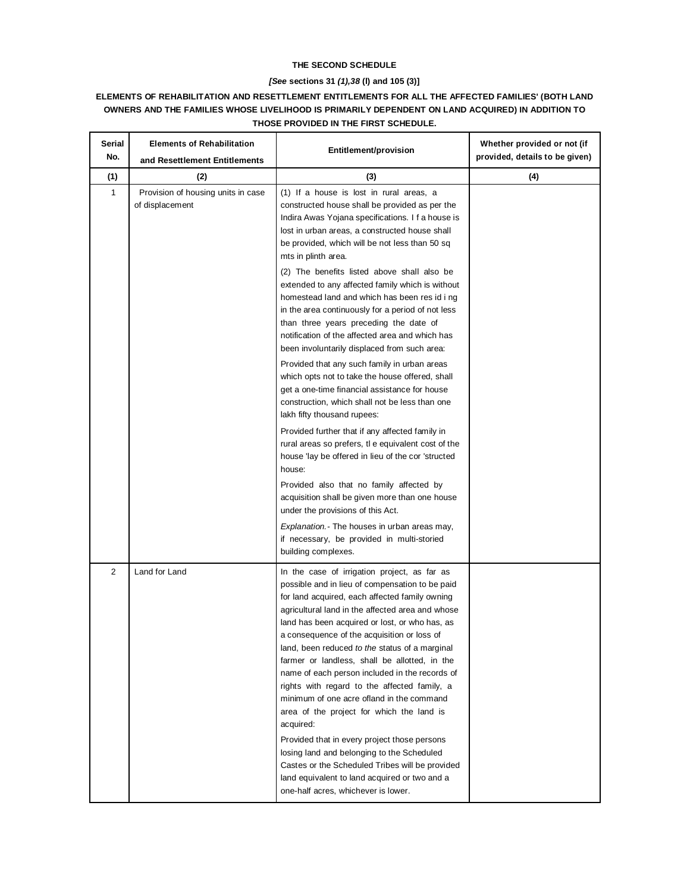## **THE SECOND SCHEDULE**

# *[See* **sections 31** *(1),38* **(l) and 105 (3)]**

# **ELEMENTS OF REHABILITATION AND RESETTLEMENT ENTITLEMENTS FOR ALL THE AFFECTED FAMILIES' (BOTH LAND OWNERS AND THE FAMILIES WHOSE LIVELIHOOD IS PRIMARILY DEPENDENT ON LAND ACQUIRED) IN ADDITION TO THOSE PROVIDED IN THE FIRST SCHEDULE.**

| Serial<br>No. | <b>Elements of Rehabilitation</b><br>and Resettlement Entitlements | <b>Entitlement/provision</b>                                                                                                                                                                                                                                                                                                                                                                                                                                                                                                                                                                                                                                       | Whether provided or not (if<br>provided, details to be given) |
|---------------|--------------------------------------------------------------------|--------------------------------------------------------------------------------------------------------------------------------------------------------------------------------------------------------------------------------------------------------------------------------------------------------------------------------------------------------------------------------------------------------------------------------------------------------------------------------------------------------------------------------------------------------------------------------------------------------------------------------------------------------------------|---------------------------------------------------------------|
| (1)           | (2)                                                                | (3)                                                                                                                                                                                                                                                                                                                                                                                                                                                                                                                                                                                                                                                                | (4)                                                           |
| 1             | Provision of housing units in case<br>of displacement              | (1) If a house is lost in rural areas, a<br>constructed house shall be provided as per the<br>Indira Awas Yojana specifications. I f a house is<br>lost in urban areas, a constructed house shall<br>be provided, which will be not less than 50 sq<br>mts in plinth area.                                                                                                                                                                                                                                                                                                                                                                                         |                                                               |
|               |                                                                    | (2) The benefits listed above shall also be<br>extended to any affected family which is without<br>homestead land and which has been res id i ng<br>in the area continuously for a period of not less<br>than three years preceding the date of<br>notification of the affected area and which has<br>been involuntarily displaced from such area:                                                                                                                                                                                                                                                                                                                 |                                                               |
|               |                                                                    | Provided that any such family in urban areas<br>which opts not to take the house offered, shall<br>get a one-time financial assistance for house<br>construction, which shall not be less than one<br>lakh fifty thousand rupees:                                                                                                                                                                                                                                                                                                                                                                                                                                  |                                                               |
|               |                                                                    | Provided further that if any affected family in<br>rural areas so prefers, tle equivalent cost of the<br>house 'lay be offered in lieu of the cor 'structed<br>house:                                                                                                                                                                                                                                                                                                                                                                                                                                                                                              |                                                               |
|               |                                                                    | Provided also that no family affected by<br>acquisition shall be given more than one house<br>under the provisions of this Act.                                                                                                                                                                                                                                                                                                                                                                                                                                                                                                                                    |                                                               |
|               |                                                                    | Explanation. - The houses in urban areas may,<br>if necessary, be provided in multi-storied<br>building complexes.                                                                                                                                                                                                                                                                                                                                                                                                                                                                                                                                                 |                                                               |
| 2             | Land for Land                                                      | In the case of irrigation project, as far as<br>possible and in lieu of compensation to be paid<br>for land acquired, each affected family owning<br>agricultural land in the affected area and whose<br>land has been acquired or lost, or who has, as<br>a consequence of the acquisition or loss of<br>land, been reduced to the status of a marginal<br>farmer or landless, shall be allotted, in the<br>name of each person included in the records of<br>rights with regard to the affected family, a<br>minimum of one acre ofland in the command<br>area of the project for which the land is<br>acquired:<br>Provided that in every project those persons |                                                               |
|               |                                                                    | losing land and belonging to the Scheduled<br>Castes or the Scheduled Tribes will be provided<br>land equivalent to land acquired or two and a<br>one-half acres, whichever is lower.                                                                                                                                                                                                                                                                                                                                                                                                                                                                              |                                                               |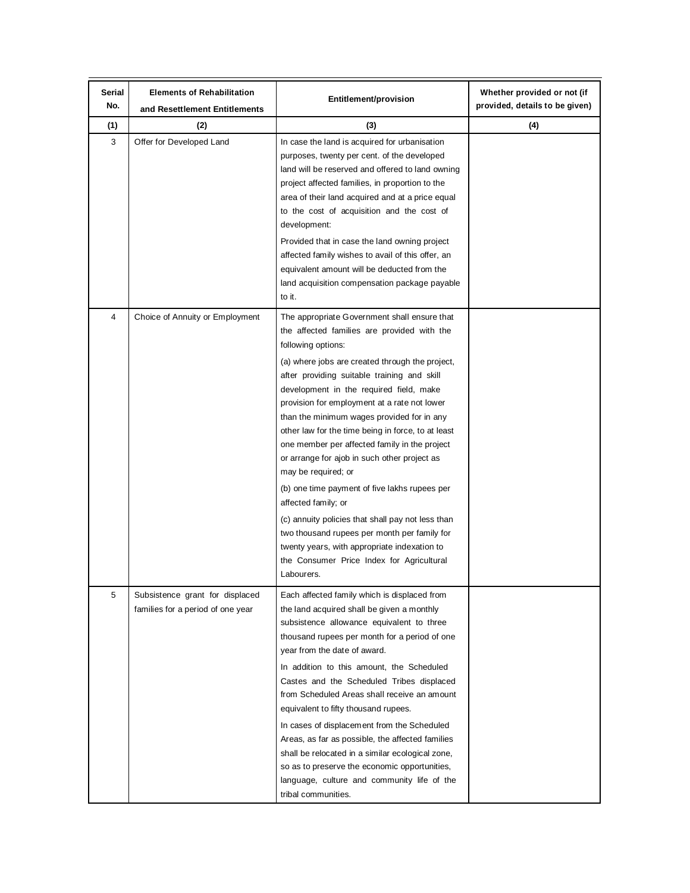| Serial<br>No.  | <b>Elements of Rehabilitation</b><br>and Resettlement Entitlements   | Entitlement/provision                                                                                                                                                                                                                                                                                                                                                                                                                                                                                                                                                                                                                                                                                                                                                                                                              | Whether provided or not (if<br>provided, details to be given) |
|----------------|----------------------------------------------------------------------|------------------------------------------------------------------------------------------------------------------------------------------------------------------------------------------------------------------------------------------------------------------------------------------------------------------------------------------------------------------------------------------------------------------------------------------------------------------------------------------------------------------------------------------------------------------------------------------------------------------------------------------------------------------------------------------------------------------------------------------------------------------------------------------------------------------------------------|---------------------------------------------------------------|
| (1)            | (2)                                                                  | (3)                                                                                                                                                                                                                                                                                                                                                                                                                                                                                                                                                                                                                                                                                                                                                                                                                                | (4)                                                           |
| 3              | Offer for Developed Land                                             | In case the land is acquired for urbanisation<br>purposes, twenty per cent. of the developed<br>land will be reserved and offered to land owning<br>project affected families, in proportion to the<br>area of their land acquired and at a price equal<br>to the cost of acquisition and the cost of<br>development:<br>Provided that in case the land owning project<br>affected family wishes to avail of this offer, an<br>equivalent amount will be deducted from the<br>land acquisition compensation package payable<br>to it.                                                                                                                                                                                                                                                                                              |                                                               |
| $\overline{4}$ | Choice of Annuity or Employment                                      | The appropriate Government shall ensure that<br>the affected families are provided with the<br>following options:<br>(a) where jobs are created through the project,<br>after providing suitable training and skill<br>development in the required field, make<br>provision for employment at a rate not lower<br>than the minimum wages provided for in any<br>other law for the time being in force, to at least<br>one member per affected family in the project<br>or arrange for ajob in such other project as<br>may be required; or<br>(b) one time payment of five lakhs rupees per<br>affected family; or<br>(c) annuity policies that shall pay not less than<br>two thousand rupees per month per family for<br>twenty years, with appropriate indexation to<br>the Consumer Price Index for Agricultural<br>Labourers. |                                                               |
| 5              | Subsistence grant for displaced<br>families for a period of one year | Each affected family which is displaced from<br>the land acquired shall be given a monthly<br>subsistence allowance equivalent to three<br>thousand rupees per month for a period of one<br>year from the date of award.<br>In addition to this amount, the Scheduled<br>Castes and the Scheduled Tribes displaced<br>from Scheduled Areas shall receive an amount<br>equivalent to fifty thousand rupees.<br>In cases of displacement from the Scheduled<br>Areas, as far as possible, the affected families<br>shall be relocated in a similar ecological zone,<br>so as to preserve the economic opportunities,<br>language, culture and community life of the<br>tribal communities.                                                                                                                                           |                                                               |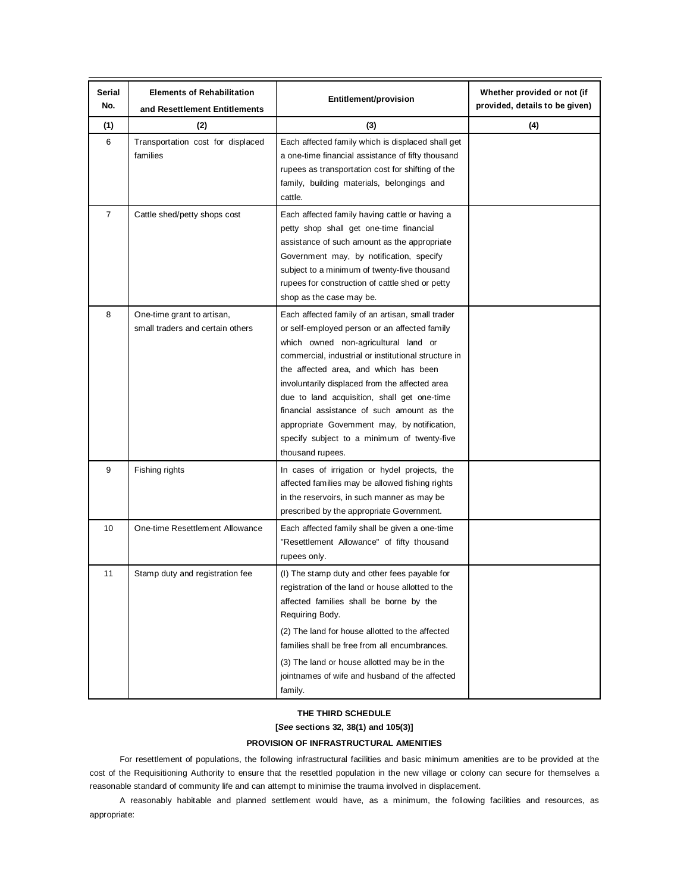| Serial<br>No.  | <b>Elements of Rehabilitation</b><br>and Resettlement Entitlements | Entitlement/provision                                                                                                                                                                                                                                                                                                                                                                                                                                                                                       | Whether provided or not (if<br>provided, details to be given) |
|----------------|--------------------------------------------------------------------|-------------------------------------------------------------------------------------------------------------------------------------------------------------------------------------------------------------------------------------------------------------------------------------------------------------------------------------------------------------------------------------------------------------------------------------------------------------------------------------------------------------|---------------------------------------------------------------|
| (1)            | (2)                                                                | (3)                                                                                                                                                                                                                                                                                                                                                                                                                                                                                                         | (4)                                                           |
| 6              | Transportation cost for displaced<br>families                      | Each affected family which is displaced shall get<br>a one-time financial assistance of fifty thousand<br>rupees as transportation cost for shifting of the<br>family, building materials, belongings and<br>cattle.                                                                                                                                                                                                                                                                                        |                                                               |
| $\overline{7}$ | Cattle shed/petty shops cost                                       | Each affected family having cattle or having a<br>petty shop shall get one-time financial<br>assistance of such amount as the appropriate<br>Government may, by notification, specify<br>subject to a minimum of twenty-five thousand<br>rupees for construction of cattle shed or petty<br>shop as the case may be.                                                                                                                                                                                        |                                                               |
| 8              | One-time grant to artisan,<br>small traders and certain others     | Each affected family of an artisan, small trader<br>or self-employed person or an affected family<br>which owned non-agricultural land or<br>commercial, industrial or institutional structure in<br>the affected area, and which has been<br>involuntarily displaced from the affected area<br>due to land acquisition, shall get one-time<br>financial assistance of such amount as the<br>appropriate Govemment may, by notification,<br>specify subject to a minimum of twenty-five<br>thousand rupees. |                                                               |
| 9              | Fishing rights                                                     | In cases of irrigation or hydel projects, the<br>affected families may be allowed fishing rights<br>in the reservoirs, in such manner as may be<br>prescribed by the appropriate Government.                                                                                                                                                                                                                                                                                                                |                                                               |
| 10             | One-time Resettlement Allowance                                    | Each affected family shall be given a one-time<br>"Resettlement Allowance" of fifty thousand<br>rupees only.                                                                                                                                                                                                                                                                                                                                                                                                |                                                               |
| 11             | Stamp duty and registration fee                                    | (I) The stamp duty and other fees payable for<br>registration of the land or house allotted to the<br>affected families shall be borne by the<br>Requiring Body.<br>(2) The land for house allotted to the affected<br>families shall be free from all encumbrances.<br>(3) The land or house allotted may be in the<br>jointnames of wife and husband of the affected<br>family.                                                                                                                           |                                                               |

## **THE THIRD SCHEDULE**

**[***See* **sections 32, 38(1) and 105(3)]**

## **PROVISION OF INFRASTRUCTURAL AMENITIES**

For resettlement of populations, the following infrastructural facilities and basic minimum amenities are to be provided at the cost of the Requisitioning Authority to ensure that the resettled population in the new village or colony can secure for themselves a reasonable standard of community life and can attempt to minimise the trauma involved in displacement.

A reasonably habitable and planned settlement would have, as a minimum, the following facilities and resources, as appropriate: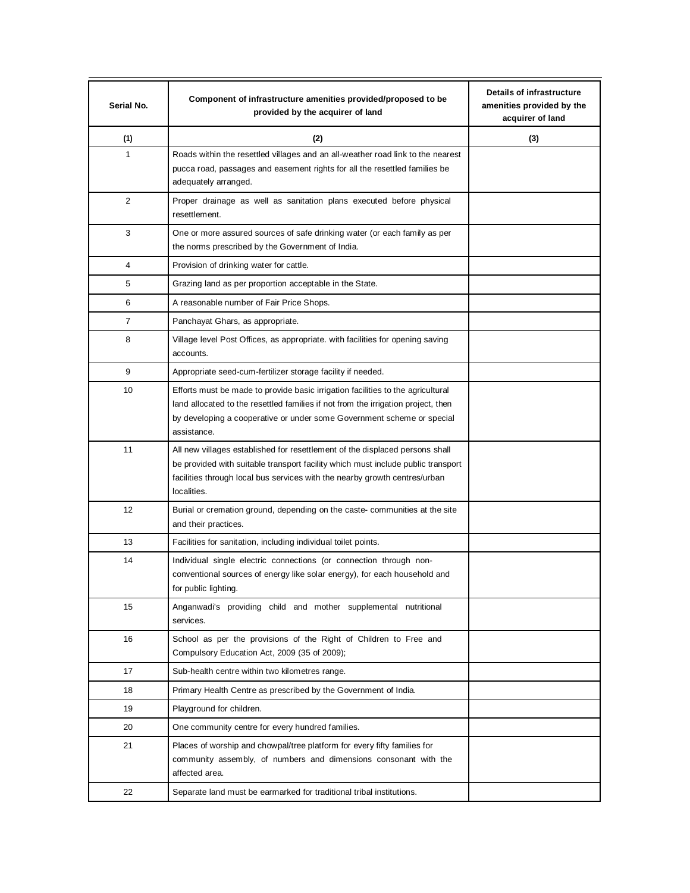| Serial No. | Component of infrastructure amenities provided/proposed to be<br>provided by the acquirer of land                                                                                                                                                             | Details of infrastructure<br>amenities provided by the<br>acquirer of land |
|------------|---------------------------------------------------------------------------------------------------------------------------------------------------------------------------------------------------------------------------------------------------------------|----------------------------------------------------------------------------|
| (1)        | (2)                                                                                                                                                                                                                                                           | (3)                                                                        |
| 1          | Roads within the resettled villages and an all-weather road link to the nearest<br>pucca road, passages and easement rights for all the resettled families be<br>adequately arranged.                                                                         |                                                                            |
| 2          | Proper drainage as well as sanitation plans executed before physical<br>resettlement.                                                                                                                                                                         |                                                                            |
| 3          | One or more assured sources of safe drinking water (or each family as per<br>the norms prescribed by the Government of India.                                                                                                                                 |                                                                            |
| 4          | Provision of drinking water for cattle.                                                                                                                                                                                                                       |                                                                            |
| 5          | Grazing land as per proportion acceptable in the State.                                                                                                                                                                                                       |                                                                            |
| 6          | A reasonable number of Fair Price Shops.                                                                                                                                                                                                                      |                                                                            |
| 7          | Panchayat Ghars, as appropriate.                                                                                                                                                                                                                              |                                                                            |
| 8          | Village level Post Offices, as appropriate. with facilities for opening saving<br>accounts.                                                                                                                                                                   |                                                                            |
| 9          | Appropriate seed-cum-fertilizer storage facility if needed.                                                                                                                                                                                                   |                                                                            |
| 10         | Efforts must be made to provide basic irrigation facilities to the agricultural<br>land allocated to the resettled families if not from the irrigation project, then<br>by developing a cooperative or under some Government scheme or special<br>assistance. |                                                                            |
| 11         | All new villages established for resettlement of the displaced persons shall<br>be provided with suitable transport facility which must include public transport<br>facilities through local bus services with the nearby growth centres/urban<br>localities. |                                                                            |
| 12         | Burial or cremation ground, depending on the caste- communities at the site<br>and their practices.                                                                                                                                                           |                                                                            |
| 13         | Facilities for sanitation, including individual toilet points.                                                                                                                                                                                                |                                                                            |
| 14         | Individual single electric connections (or connection through non-<br>conventional sources of energy like solar energy), for each household and<br>for public lighting.                                                                                       |                                                                            |
| 15         | Anganwadi's providing child and mother supplemental nutritional<br>services.                                                                                                                                                                                  |                                                                            |
| 16         | School as per the provisions of the Right of Children to Free and<br>Compulsory Education Act, 2009 (35 of 2009);                                                                                                                                             |                                                                            |
| 17         | Sub-health centre within two kilometres range.                                                                                                                                                                                                                |                                                                            |
| 18         | Primary Health Centre as prescribed by the Government of India.                                                                                                                                                                                               |                                                                            |
| 19         | Playground for children.                                                                                                                                                                                                                                      |                                                                            |
| 20         | One community centre for every hundred families.                                                                                                                                                                                                              |                                                                            |
| 21         | Places of worship and chowpal/tree platform for every fifty families for<br>community assembly, of numbers and dimensions consonant with the<br>affected area.                                                                                                |                                                                            |
| 22         | Separate land must be earmarked for traditional tribal institutions.                                                                                                                                                                                          |                                                                            |